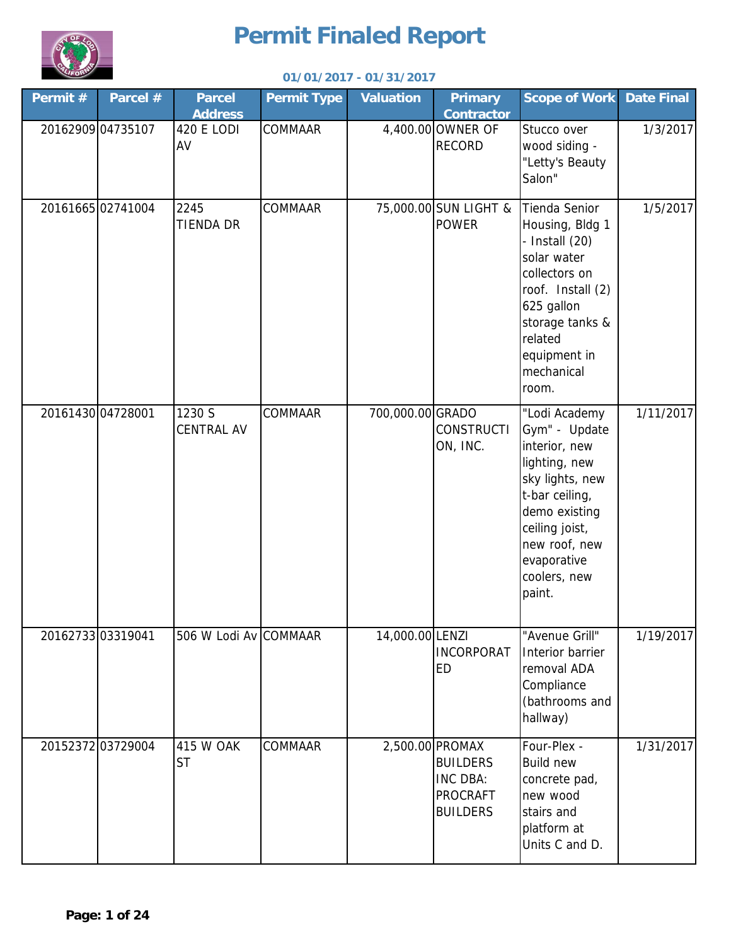

| Permit # | Parcel #          | <b>Parcel</b><br><b>Address</b> | <b>Permit Type</b> | <b>Valuation</b> | <b>Primary</b><br><b>Contractor</b>                                                  | <b>Scope of Work</b>                                                                                                                                                                               | <b>Date Final</b> |
|----------|-------------------|---------------------------------|--------------------|------------------|--------------------------------------------------------------------------------------|----------------------------------------------------------------------------------------------------------------------------------------------------------------------------------------------------|-------------------|
|          | 20162909 04735107 | <b>420 E LODI</b><br>AV         | COMMAAR            |                  | 4,400.00 OWNER OF<br><b>RECORD</b>                                                   | Stucco over<br>wood siding -<br>"Letty's Beauty<br>Salon"                                                                                                                                          | 1/3/2017          |
|          | 2016166502741004  | 2245<br>TIENDA DR               | COMMAAR            |                  | 75,000.00 SUN LIGHT &<br><b>POWER</b>                                                | Tienda Senior<br>Housing, Bldg 1<br>- Install $(20)$<br>solar water<br>collectors on<br>roof. Install (2)<br>625 gallon<br>storage tanks &<br>related<br>equipment in<br>mechanical<br>room.       | 1/5/2017          |
|          | 20161430 04728001 | 1230 S<br><b>CENTRAL AV</b>     | COMMAAR            | 700,000.00 GRADO | <b>CONSTRUCTI</b><br>ON, INC.                                                        | "Lodi Academy<br>Gym" - Update<br>interior, new<br>lighting, new<br>sky lights, new<br>t-bar ceiling,<br>demo existing<br>ceiling joist,<br>new roof, new<br>evaporative<br>coolers, new<br>paint. | 1/11/2017         |
|          | 20162733 03319041 | 506 W Lodi Av COMMAAR           |                    | 14,000.00 LENZI  | <b>INCORPORAT</b><br><b>ED</b>                                                       | "Avenue Grill"<br>Interior barrier<br>removal ADA<br>Compliance<br>(bathrooms and<br>hallway)                                                                                                      | 1/19/2017         |
|          | 20152372 03729004 | 415 W OAK<br><b>ST</b>          | COMMAAR            |                  | 2,500.00 PROMAX<br><b>BUILDERS</b><br>INC DBA:<br><b>PROCRAFT</b><br><b>BUILDERS</b> | Four-Plex -<br><b>Build new</b><br>concrete pad,<br>new wood<br>stairs and<br>platform at<br>Units C and D.                                                                                        | 1/31/2017         |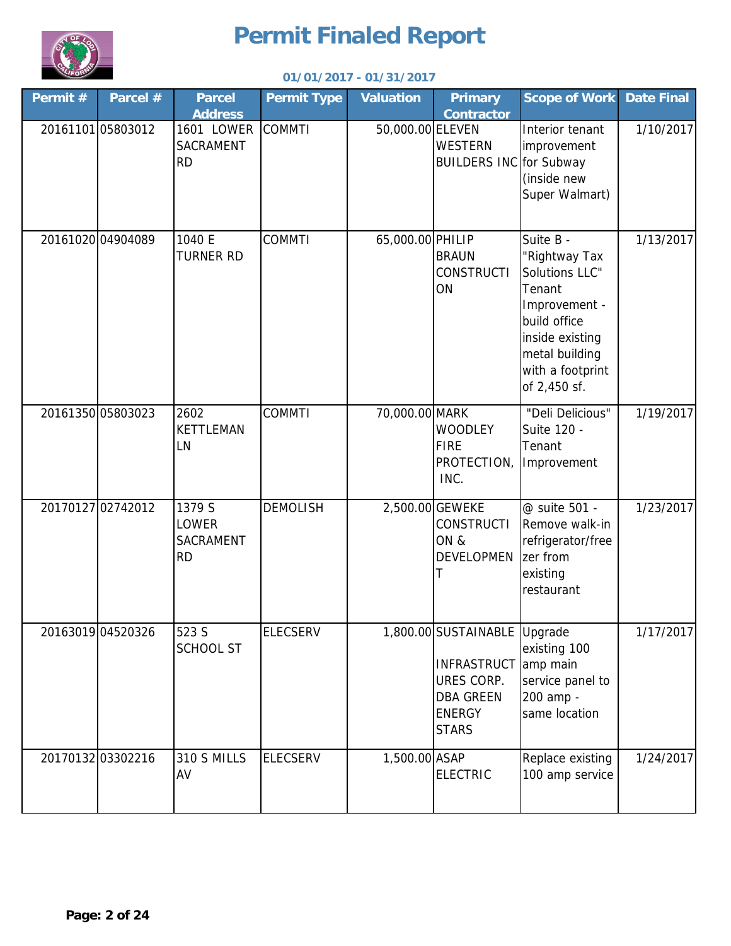

| Permit # | Parcel #          | <b>Parcel</b><br><b>Address</b>                         | <b>Permit Type</b> | <b>Valuation</b> | <b>Primary</b><br><b>Contractor</b>                                                                                   | <b>Scope of Work</b>                                                                                                                                             | <b>Date Final</b> |
|----------|-------------------|---------------------------------------------------------|--------------------|------------------|-----------------------------------------------------------------------------------------------------------------------|------------------------------------------------------------------------------------------------------------------------------------------------------------------|-------------------|
|          | 2016110105803012  | 1601 LOWER<br><b>SACRAMENT</b><br><b>RD</b>             | <b>COMMTI</b>      | 50,000.00 ELEVEN | <b>WESTERN</b><br><b>BUILDERS INC</b> for Subway                                                                      | Interior tenant<br>improvement<br>(inside new<br>Super Walmart)                                                                                                  | 1/10/2017         |
|          | 20161020 04904089 | 1040 E<br><b>TURNER RD</b>                              | <b>COMMTI</b>      | 65,000.00 PHILIP | <b>BRAUN</b><br><b>CONSTRUCTI</b><br>ON                                                                               | Suite B -<br>'Rightway Tax<br>Solutions LLC"<br>Tenant<br>Improvement -<br>build office<br>inside existing<br>metal building<br>with a footprint<br>of 2,450 sf. | 1/13/2017         |
|          | 2016135005803023  | 2602<br>KETTLEMAN<br>LN                                 | <b>COMMTI</b>      | 70,000.00 MARK   | <b>WOODLEY</b><br><b>FIRE</b><br>PROTECTION,<br>INC.                                                                  | "Deli Delicious"<br>Suite 120 -<br>Tenant<br>Improvement                                                                                                         | 1/19/2017         |
|          | 20170127 02742012 | 1379 S<br><b>LOWER</b><br><b>SACRAMENT</b><br><b>RD</b> | <b>DEMOLISH</b>    |                  | 2,500.00 GEWEKE<br><b>CONSTRUCTI</b><br>ON &<br><b>DEVELOPMEN</b><br>T                                                | @ suite 501 -<br>Remove walk-in<br>refrigerator/free<br>zer from<br>existing<br>restaurant                                                                       | 1/23/2017         |
|          | 20163019 04520326 | 523 S<br><b>SCHOOL ST</b>                               | <b>ELECSERV</b>    |                  | 1,800.00 SUSTAINABLE Upgrade<br><b>INFRASTRUCT</b><br>URES CORP.<br><b>DBA GREEN</b><br><b>ENERGY</b><br><b>STARS</b> | existing 100<br>amp main<br>service panel to<br>200 amp -<br>same location                                                                                       | 1/17/2017         |
|          | 20170132 03302216 | 310 S MILLS<br>AV                                       | <b>ELECSERV</b>    | 1,500.00 ASAP    | <b>ELECTRIC</b>                                                                                                       | Replace existing<br>100 amp service                                                                                                                              | 1/24/2017         |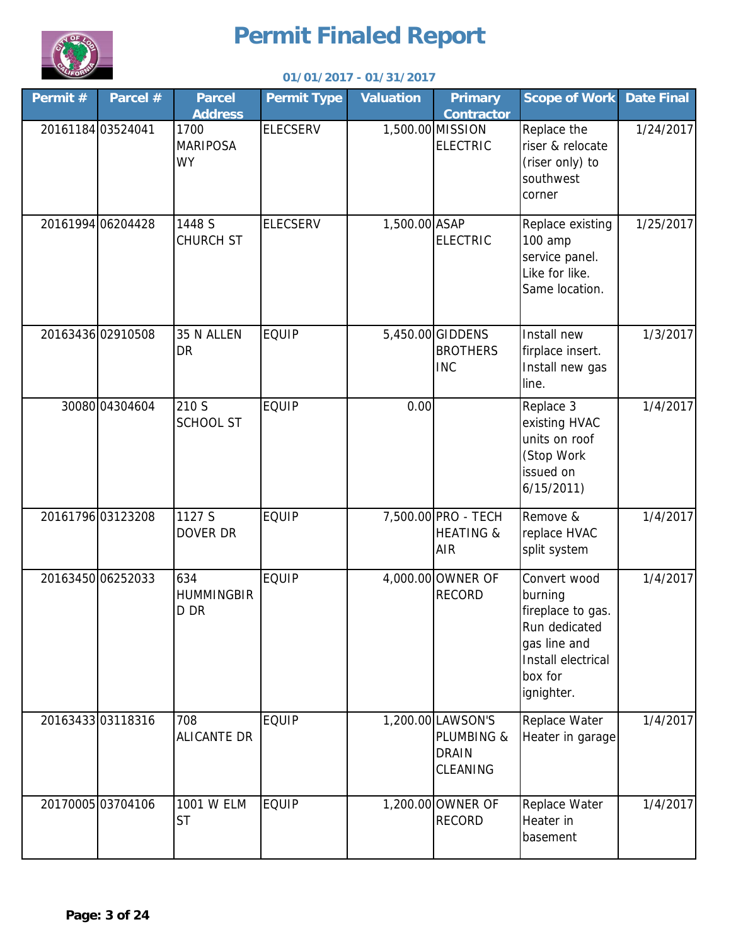

| Permit #          | Parcel #          | <b>Parcel</b><br><b>Address</b>      | <b>Permit Type</b> | <b>Valuation</b> | <b>Primary</b><br><b>Contractor</b>                         | <b>Scope of Work</b>                                                                                                         | <b>Date Final</b> |
|-------------------|-------------------|--------------------------------------|--------------------|------------------|-------------------------------------------------------------|------------------------------------------------------------------------------------------------------------------------------|-------------------|
| 20161184 03524041 |                   | 1700<br><b>MARIPOSA</b><br><b>WY</b> | <b>ELECSERV</b>    |                  | 1,500.00 MISSION<br><b>ELECTRIC</b>                         | Replace the<br>riser & relocate<br>(riser only) to<br>southwest<br>corner                                                    | 1/24/2017         |
|                   | 20161994 06204428 | 1448 S<br><b>CHURCH ST</b>           | <b>ELECSERV</b>    | 1,500.00 ASAP    | <b>ELECTRIC</b>                                             | Replace existing<br>100 amp<br>service panel.<br>Like for like.<br>Same location.                                            | 1/25/2017         |
|                   | 20163436 02910508 | 35 N ALLEN<br>DR                     | <b>EQUIP</b>       |                  | 5,450.00 GIDDENS<br><b>BROTHERS</b><br><b>INC</b>           | Install new<br>firplace insert.<br>Install new gas<br>line.                                                                  | 1/3/2017          |
|                   | 30080 04304604    | 210 S<br><b>SCHOOL ST</b>            | <b>EQUIP</b>       | 0.00             |                                                             | Replace 3<br>existing HVAC<br>units on roof<br>(Stop Work<br>issued on<br>6/15/2011                                          | 1/4/2017          |
|                   | 20161796 03123208 | 1127 S<br>DOVER DR                   | <b>EQUIP</b>       |                  | 7,500.00 PRO - TECH<br><b>HEATING &amp;</b><br>AIR          | Remove &<br>replace HVAC<br>split system                                                                                     | 1/4/2017          |
|                   | 20163450 06252033 | 634<br><b>HUMMINGBIR</b><br>D DR     | <b>EQUIP</b>       |                  | 4,000.00 OWNER OF<br><b>RECORD</b>                          | Convert wood<br>burning<br>fireplace to gas.<br>Run dedicated<br>gas line and<br>Install electrical<br>box for<br>ignighter. | 1/4/2017          |
|                   | 20163433 03118316 | 708<br><b>ALICANTE DR</b>            | <b>EQUIP</b>       |                  | 1,200.00 LAWSON'S<br>PLUMBING &<br><b>DRAIN</b><br>CLEANING | Replace Water<br>Heater in garage                                                                                            | 1/4/2017          |
|                   | 2017000503704106  | 1001 W ELM<br><b>ST</b>              | <b>EQUIP</b>       |                  | 1,200.00 OWNER OF<br><b>RECORD</b>                          | Replace Water<br>Heater in<br>basement                                                                                       | 1/4/2017          |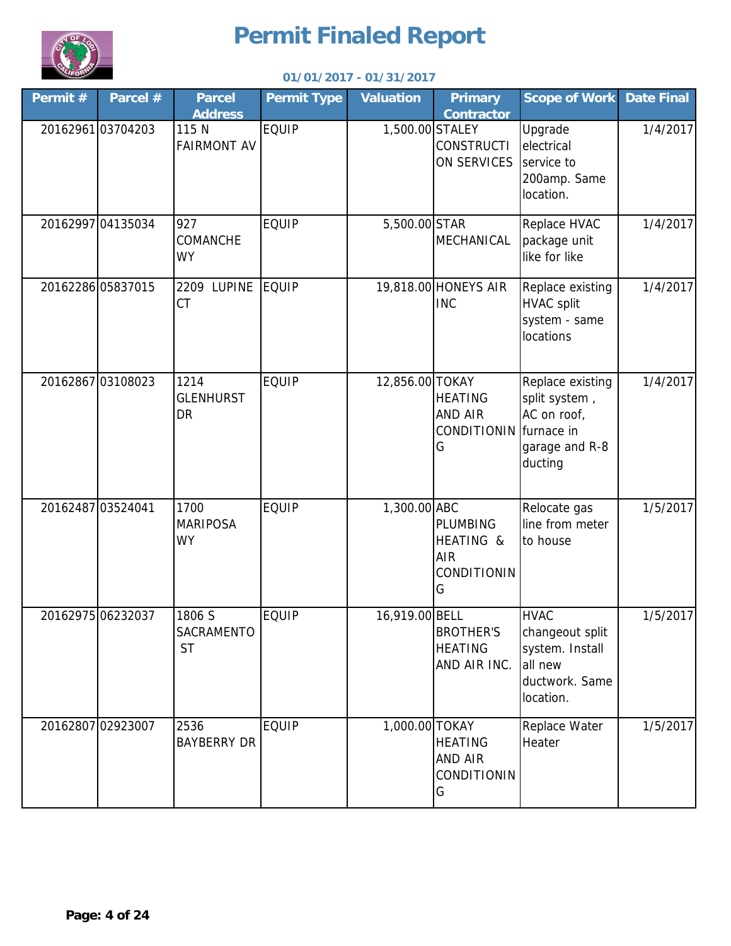

| Permit #          | Parcel #          | <b>Parcel</b><br><b>Address</b>      | <b>Permit Type</b> | <b>Valuation</b> | <b>Primary</b><br><b>Contractor</b>                            | <b>Scope of Work</b>                                                                        | <b>Date Final</b> |
|-------------------|-------------------|--------------------------------------|--------------------|------------------|----------------------------------------------------------------|---------------------------------------------------------------------------------------------|-------------------|
|                   | 20162961 03704203 | 115 N<br><b>FAIRMONT AV</b>          | <b>EQUIP</b>       | 1,500.00 STALEY  | <b>CONSTRUCTI</b><br>ON SERVICES                               | Upgrade<br>electrical<br>service to<br>200amp. Same<br>location.                            | 1/4/2017          |
|                   | 20162997 04135034 | 927<br><b>COMANCHE</b><br><b>WY</b>  | <b>EQUIP</b>       | 5,500.00 STAR    | MECHANICAL                                                     | Replace HVAC<br>package unit<br>like for like                                               | 1/4/2017          |
|                   | 20162286 05837015 | 2209 LUPINE<br>CT                    | <b>EQUIP</b>       |                  | 19,818.00 HONEYS AIR<br><b>INC</b>                             | Replace existing<br><b>HVAC split</b><br>system - same<br>locations                         | 1/4/2017          |
|                   | 20162867 03108023 | 1214<br><b>GLENHURST</b><br>DR       | <b>EQUIP</b>       | 12,856.00 TOKAY  | <b>HEATING</b><br>AND AIR<br>CONDITIONIN furnace in<br>G       | Replace existing<br>split system,<br>AC on roof,<br>garage and R-8<br>ducting               | 1/4/2017          |
| 20162487 03524041 |                   | 1700<br><b>MARIPOSA</b><br><b>WY</b> | <b>EQUIP</b>       | 1,300.00 ABC     | <b>PLUMBING</b><br>HEATING &<br><b>AIR</b><br>CONDITIONIN<br>G | Relocate gas<br>line from meter<br>to house                                                 | 1/5/2017          |
|                   | 20162975 06232037 | 1806 S<br>SACRAMENTO<br><b>ST</b>    | <b>EQUIP</b>       | 16,919.00 BELL   | <b>BROTHER'S</b><br><b>HEATING</b><br>AND AIR INC.             | <b>HVAC</b><br>changeout split<br>system. Install<br>all new<br>ductwork. Same<br>location. | 1/5/2017          |
|                   | 20162807 02923007 | 2536<br><b>BAYBERRY DR</b>           | <b>EQUIP</b>       | 1,000.00 TOKAY   | <b>HEATING</b><br>AND AIR<br>CONDITIONIN<br>G                  | Replace Water<br>Heater                                                                     | 1/5/2017          |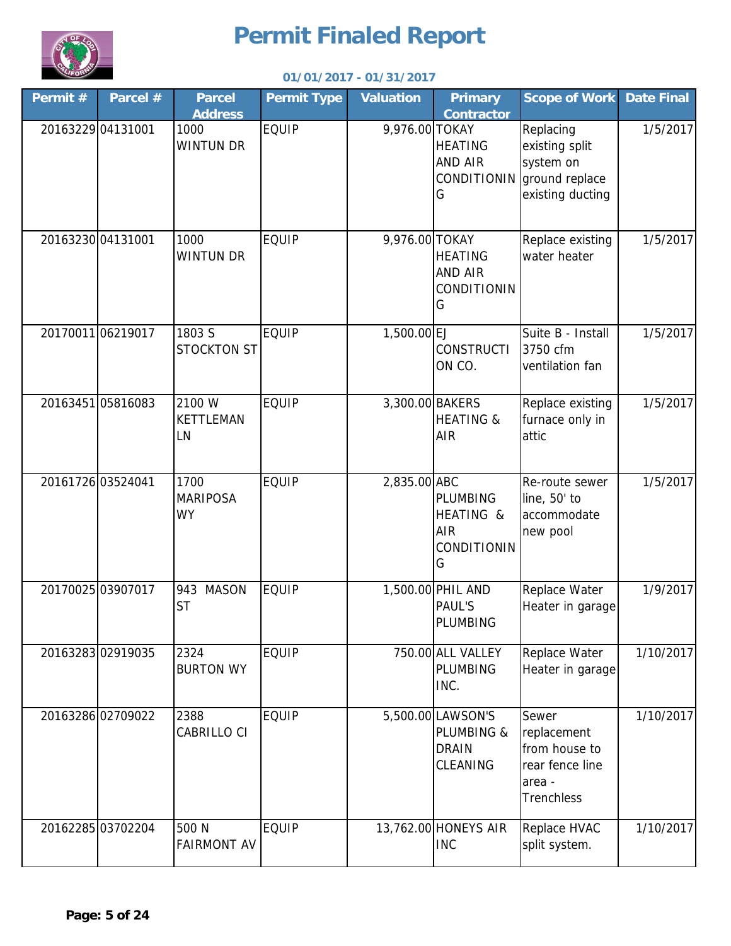

| Permit # | Parcel #          | <b>Parcel</b><br><b>Address</b>      | <b>Permit Type</b> | <b>Valuation</b> | <b>Primary</b><br><b>Contractor</b>                            | <b>Scope of Work</b>                                                                    | <b>Date Final</b> |
|----------|-------------------|--------------------------------------|--------------------|------------------|----------------------------------------------------------------|-----------------------------------------------------------------------------------------|-------------------|
|          | 20163229 04131001 | 1000<br><b>WINTUN DR</b>             | <b>EQUIP</b>       | 9,976.00 TOKAY   | <b>HEATING</b><br>AND AIR<br><b>CONDITIONIN</b><br>G           | Replacing<br>existing split<br>system on<br>ground replace<br>existing ducting          | 1/5/2017          |
|          | 20163230 04131001 | 1000<br><b>WINTUN DR</b>             | <b>EQUIP</b>       | 9,976.00 TOKAY   | <b>HEATING</b><br>AND AIR<br>CONDITIONIN<br>G                  | Replace existing<br>water heater                                                        | 1/5/2017          |
|          | 2017001106219017  | 1803 S<br><b>STOCKTON ST</b>         | <b>EQUIP</b>       | 1,500.00 EJ      | <b>CONSTRUCTI</b><br>ON CO.                                    | Suite B - Install<br>3750 cfm<br>ventilation fan                                        | 1/5/2017          |
|          | 20163451 05816083 | 2100 W<br><b>KETTLEMAN</b><br>LN     | <b>EQUIP</b>       | 3,300.00 BAKERS  | <b>HEATING &amp;</b><br>AIR                                    | Replace existing<br>furnace only in<br>attic                                            | 1/5/2017          |
|          | 20161726 03524041 | 1700<br><b>MARIPOSA</b><br><b>WY</b> | <b>EQUIP</b>       | 2,835.00 ABC     | <b>PLUMBING</b><br>HEATING &<br><b>AIR</b><br>CONDITIONIN<br>G | Re-route sewer<br>line, 50' to<br>accommodate<br>new pool                               | 1/5/2017          |
|          | 20170025 03907017 | 943<br><b>MASON</b><br><b>ST</b>     | <b>EQUIP</b>       |                  | 1,500.00 PHIL AND<br><b>PAUL'S</b><br>PLUMBING                 | Replace Water<br>Heater in garage                                                       | 1/9/2017          |
|          | 2016328302919035  | 2324<br><b>BURTON WY</b>             | <b>EQUIP</b>       |                  | 750.00 ALL VALLEY<br><b>PLUMBING</b><br>INC.                   | Replace Water<br>Heater in garage                                                       | 1/10/2017         |
|          | 20163286 02709022 | 2388<br>CABRILLO CI                  | <b>EQUIP</b>       |                  | 5,500.00 LAWSON'S<br>PLUMBING &<br><b>DRAIN</b><br>CLEANING    | Sewer<br>replacement<br>from house to<br>rear fence line<br>area -<br><b>Trenchless</b> | 1/10/2017         |
|          | 20162285 03702204 | 500 N<br><b>FAIRMONT AV</b>          | <b>EQUIP</b>       |                  | 13,762.00 HONEYS AIR<br><b>INC</b>                             | Replace HVAC<br>split system.                                                           | 1/10/2017         |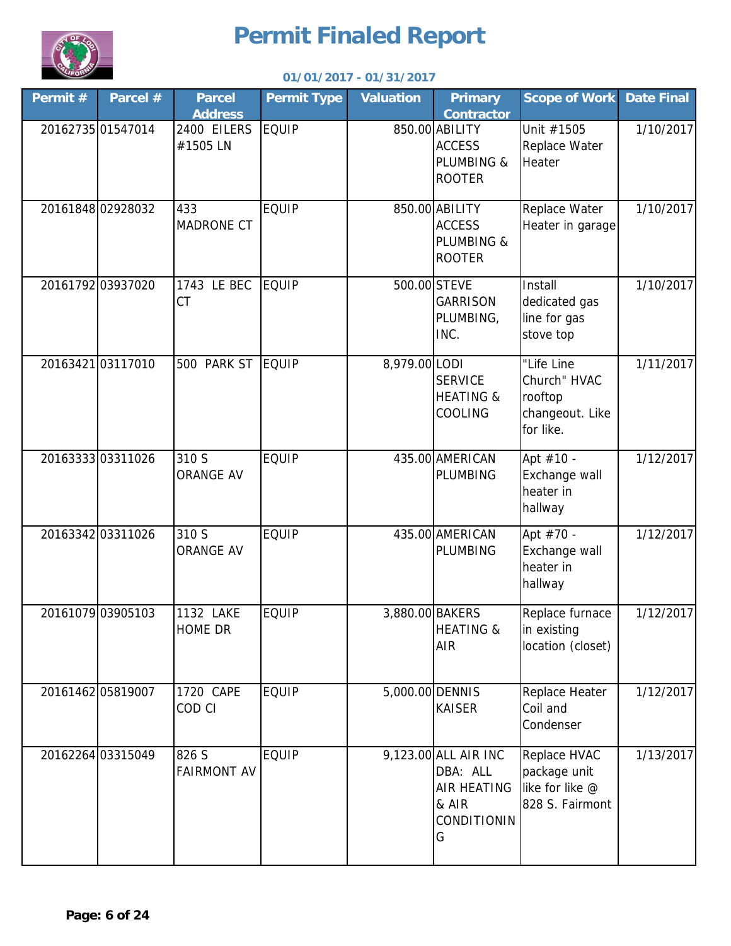

| Permit # | Parcel #          | <b>Parcel</b><br><b>Address</b> | <b>Permit Type</b> | <b>Valuation</b> | <b>Primary</b><br><b>Contractor</b>                                          | <b>Scope of Work</b>                                                  | <b>Date Final</b> |
|----------|-------------------|---------------------------------|--------------------|------------------|------------------------------------------------------------------------------|-----------------------------------------------------------------------|-------------------|
|          | 20162735 01547014 | 2400 EILERS<br>#1505 LN         | <b>EQUIP</b>       |                  | 850.00 ABILITY<br><b>ACCESS</b><br>PLUMBING &<br><b>ROOTER</b>               | Unit #1505<br>Replace Water<br>Heater                                 | 1/10/2017         |
|          | 20161848 02928032 | 433<br><b>MADRONE CT</b>        | <b>EQUIP</b>       |                  | 850.00 ABILITY<br><b>ACCESS</b><br>PLUMBING &<br><b>ROOTER</b>               | Replace Water<br>Heater in garage                                     | 1/10/2017         |
|          | 20161792 03937020 | 1743 LE BEC<br>CT               | <b>EQUIP</b>       |                  | 500.00 STEVE<br><b>GARRISON</b><br>PLUMBING,<br>INC.                         | Install<br>dedicated gas<br>line for gas<br>stove top                 | 1/10/2017         |
|          | 20163421 03117010 | 500 PARK ST                     | <b>EQUIP</b>       | 8,979.00 LODI    | <b>SERVICE</b><br><b>HEATING &amp;</b><br>COOLING                            | "Life Line<br>Church" HVAC<br>rooftop<br>changeout. Like<br>for like. | 1/11/2017         |
|          | 2016333303311026  | 310 S<br><b>ORANGE AV</b>       | <b>EQUIP</b>       |                  | 435.00 AMERICAN<br>PLUMBING                                                  | Apt #10 -<br>Exchange wall<br>heater in<br>hallway                    | 1/12/2017         |
|          | 20163342 03311026 | 310 S<br><b>ORANGE AV</b>       | <b>EQUIP</b>       |                  | 435.00 AMERICAN<br>PLUMBING                                                  | Apt #70 -<br>Exchange wall<br>heater in<br>hallway                    | 1/12/2017         |
|          | 20161079 03905103 | 1132 LAKE<br><b>HOME DR</b>     | <b>EQUIP</b>       | 3,880.00 BAKERS  | <b>HEATING &amp;</b><br><b>AIR</b>                                           | Replace furnace<br>in existing<br>location (closet)                   | 1/12/2017         |
|          | 2016146205819007  | 1720 CAPE<br>COD CI             | <b>EQUIP</b>       | 5,000.00 DENNIS  | <b>KAISER</b>                                                                | Replace Heater<br>Coil and<br>Condenser                               | 1/12/2017         |
|          | 20162264 03315049 | 826 S<br><b>FAIRMONT AV</b>     | <b>EQUIP</b>       |                  | 9,123.00 ALL AIR INC<br>DBA: ALL<br>AIR HEATING<br>& AIR<br>CONDITIONIN<br>G | Replace HVAC<br>package unit<br>like for like @<br>828 S. Fairmont    | 1/13/2017         |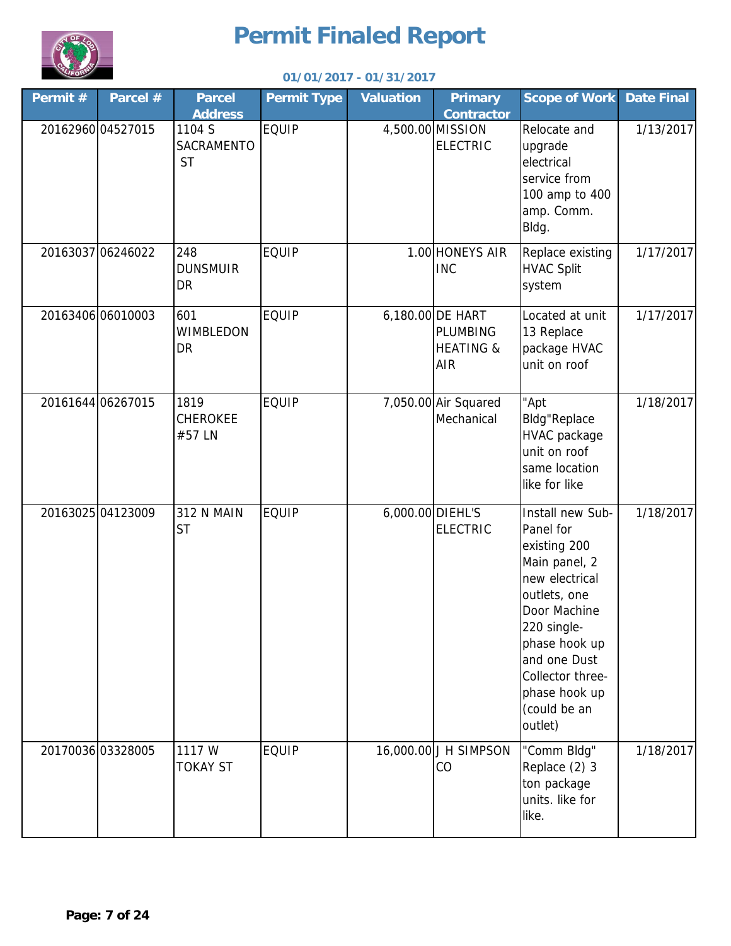

| Permit # | Parcel #          | <b>Parcel</b><br><b>Address</b>          | <b>Permit Type</b> | <b>Valuation</b> | <b>Primary</b><br><b>Contractor</b>                                       | <b>Scope of Work</b>                                                                                                                                                                                                             | <b>Date Final</b> |
|----------|-------------------|------------------------------------------|--------------------|------------------|---------------------------------------------------------------------------|----------------------------------------------------------------------------------------------------------------------------------------------------------------------------------------------------------------------------------|-------------------|
|          | 20162960 04527015 | 1104 S<br><b>SACRAMENTO</b><br><b>ST</b> | <b>EQUIP</b>       |                  | 4,500.00 MISSION<br><b>ELECTRIC</b>                                       | Relocate and<br>upgrade<br>electrical<br>service from<br>100 amp to 400<br>amp. Comm.<br>Bldg.                                                                                                                                   | 1/13/2017         |
|          | 20163037 06246022 | 248<br><b>DUNSMUIR</b><br>DR             | <b>EQUIP</b>       |                  | 1.00 HONEYS AIR<br><b>INC</b>                                             | Replace existing<br><b>HVAC Split</b><br>system                                                                                                                                                                                  | 1/17/2017         |
|          | 20163406 06010003 | 601<br><b>WIMBLEDON</b><br>DR            | <b>EQUIP</b>       |                  | 6,180.00 DE HART<br><b>PLUMBING</b><br><b>HEATING &amp;</b><br><b>AIR</b> | Located at unit<br>13 Replace<br>package HVAC<br>unit on roof                                                                                                                                                                    | 1/17/2017         |
|          | 20161644 06267015 | 1819<br><b>CHEROKEE</b><br>#57 LN        | <b>EQUIP</b>       |                  | 7,050.00 Air Squared<br>Mechanical                                        | "Apt<br><b>Bldg</b> "Replace<br>HVAC package<br>unit on roof<br>same location<br>like for like                                                                                                                                   | 1/18/2017         |
|          | 20163025 04123009 | <b>312 N MAIN</b><br><b>ST</b>           | <b>EQUIP</b>       | 6,000.00 DIEHL'S | <b>ELECTRIC</b>                                                           | Install new Sub-<br>Panel for<br>existing 200<br>Main panel, 2<br>new electrical<br>outlets, one<br>Door Machine<br>220 single-<br>phase hook up<br>and one Dust<br>Collector three-<br>phase hook up<br>(could be an<br>outlet) | 1/18/2017         |
|          | 20170036 03328005 | 1117 W<br><b>TOKAY ST</b>                | <b>EQUIP</b>       |                  | 16,000.00 J H SIMPSON<br>CO                                               | "Comm Bldg"<br>Replace (2) 3<br>ton package<br>units. like for<br>like.                                                                                                                                                          | 1/18/2017         |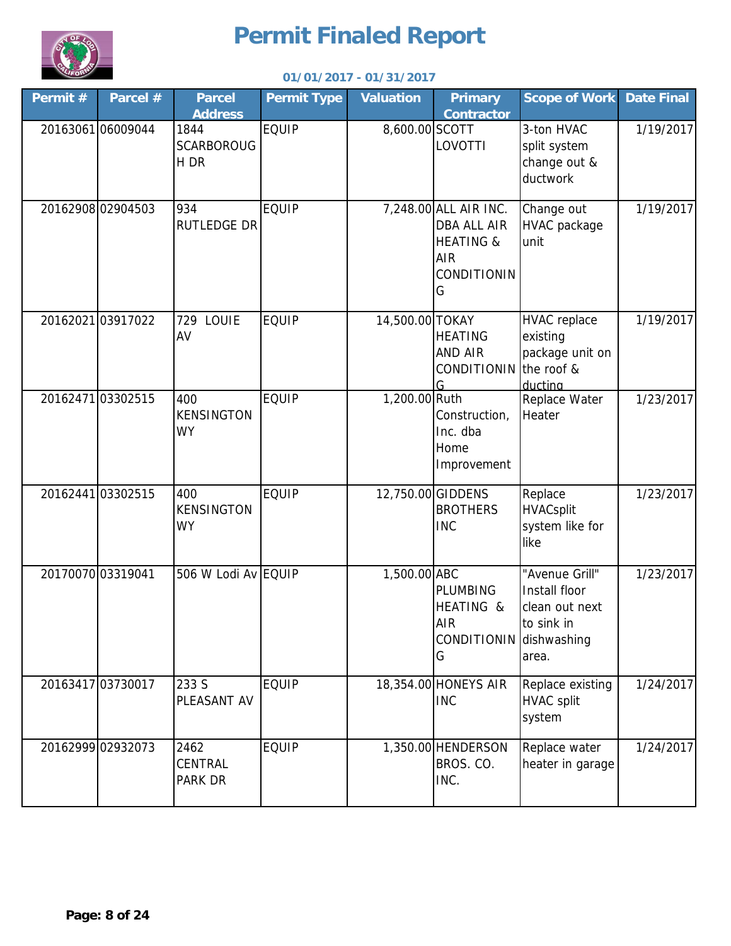

| Permit # | Parcel #          | <b>Parcel</b><br><b>Address</b>          | <b>Permit Type</b> | <b>Valuation</b> | <b>Primary</b><br><b>Contractor</b>                                                                   | <b>Scope of Work</b>                                                     | <b>Date Final</b> |
|----------|-------------------|------------------------------------------|--------------------|------------------|-------------------------------------------------------------------------------------------------------|--------------------------------------------------------------------------|-------------------|
|          | 2016306106009044  | 1844<br><b>SCARBOROUG</b><br>H DR        | <b>EQUIP</b>       | 8,600.00 SCOTT   | LOVOTTI                                                                                               | 3-ton HVAC<br>split system<br>change out &<br>ductwork                   | 1/19/2017         |
|          | 20162908 02904503 | 934<br><b>RUTLEDGE DR</b>                | <b>EQUIP</b>       |                  | 7,248.00 ALL AIR INC.<br><b>DBA ALL AIR</b><br><b>HEATING &amp;</b><br><b>AIR</b><br>CONDITIONIN<br>G | Change out<br>HVAC package<br>unit                                       | 1/19/2017         |
|          | 20162021 03917022 | 729 LOUIE<br>AV                          | <b>EQUIP</b>       | 14,500.00 TOKAY  | <b>HEATING</b><br>AND AIR<br>CONDITIONIN the roof &<br>G                                              | <b>HVAC</b> replace<br>existing<br>package unit on<br>ductina            | 1/19/2017         |
|          | 20162471 03302515 | 400<br><b>KENSINGTON</b><br><b>WY</b>    | <b>EQUIP</b>       | 1,200.00 Ruth    | Construction,<br>Inc. dba<br>Home<br>Improvement                                                      | Replace Water<br>Heater                                                  | 1/23/2017         |
|          | 20162441 03302515 | 400<br><b>KENSINGTON</b><br><b>WY</b>    | <b>EQUIP</b>       |                  | 12,750.00 GIDDENS<br><b>BROTHERS</b><br><b>INC</b>                                                    | Replace<br><b>HVACsplit</b><br>system like for<br>like                   | 1/23/2017         |
|          | 20170070 03319041 | 506 W Lodi Av EQUIP                      |                    | 1,500.00 ABC     | PLUMBING<br>HEATING &<br><b>AIR</b><br>CONDITIONIN dishwashing<br>G                                   | "Avenue Grill"<br>Install floor<br>clean out next<br>to sink in<br>area. | 1/23/2017         |
|          | 20163417 03730017 | 233 S<br>PLEASANT AV                     | <b>EQUIP</b>       |                  | 18,354.00 HONEYS AIR<br><b>INC</b>                                                                    | Replace existing<br><b>HVAC split</b><br>system                          | 1/24/2017         |
|          | 20162999 02932073 | 2462<br><b>CENTRAL</b><br><b>PARK DR</b> | <b>EQUIP</b>       |                  | 1,350.00 HENDERSON<br>BROS. CO.<br>INC.                                                               | Replace water<br>heater in garage                                        | 1/24/2017         |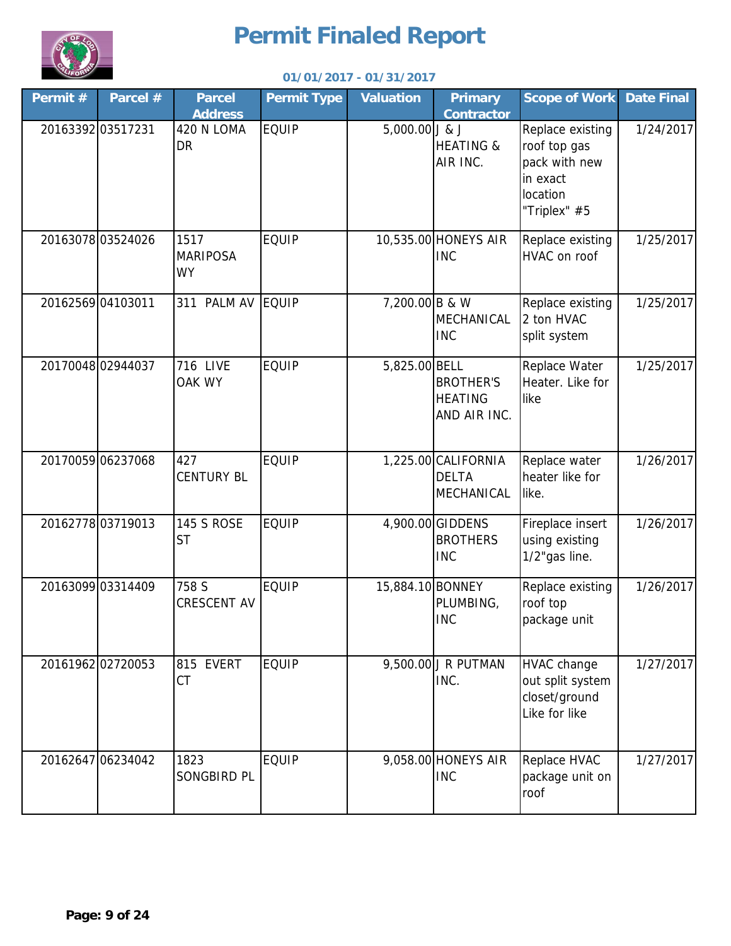

| Permit # | Parcel #          | <b>Parcel</b><br><b>Address</b>      | <b>Permit Type</b> | <b>Valuation</b> | <b>Primary</b><br><b>Contractor</b>                | <b>Scope of Work</b>                                                                      | <b>Date Final</b> |
|----------|-------------------|--------------------------------------|--------------------|------------------|----------------------------------------------------|-------------------------------------------------------------------------------------------|-------------------|
|          | 20163392 03517231 | 420 N LOMA<br>DR                     | <b>EQUIP</b>       | 5,000.00 J & J   | <b>HEATING &amp;</b><br>AIR INC.                   | Replace existing<br>roof top gas<br>pack with new<br>in exact<br>location<br>"Triplex" #5 | 1/24/2017         |
|          | 2016307803524026  | 1517<br><b>MARIPOSA</b><br><b>WY</b> | <b>EQUIP</b>       |                  | 10,535.00 HONEYS AIR<br><b>INC</b>                 | Replace existing<br><b>HVAC</b> on roof                                                   | 1/25/2017         |
|          | 20162569 04103011 | 311 PALM AV                          | EQUIP              | 7,200.00 B & W   | MECHANICAL<br><b>INC</b>                           | Replace existing<br>2 ton HVAC<br>split system                                            | 1/25/2017         |
|          | 20170048 02944037 | <b>716 LIVE</b><br>OAK WY            | <b>EQUIP</b>       | 5,825.00 BELL    | <b>BROTHER'S</b><br><b>HEATING</b><br>AND AIR INC. | Replace Water<br>Heater. Like for<br>like                                                 | 1/25/2017         |
|          | 20170059 06237068 | 427<br><b>CENTURY BL</b>             | <b>EQUIP</b>       |                  | 1,225.00 CALIFORNIA<br><b>DELTA</b><br>MECHANICAL  | Replace water<br>heater like for<br>like.                                                 | 1/26/2017         |
|          | 2016277803719013  | <b>145 S ROSE</b><br><b>ST</b>       | <b>EQUIP</b>       |                  | 4,900.00 GIDDENS<br><b>BROTHERS</b><br><b>INC</b>  | Fireplace insert<br>using existing<br>1/2"gas line.                                       | 1/26/2017         |
|          | 20163099 03314409 | 758 S<br>CRESCENT AV                 | <b>EQUIP</b>       | 15,884.10 BONNEY | PLUMBING,<br><b>INC</b>                            | Replace existing<br>roof top<br>package unit                                              | 1/26/2017         |
|          | 20161962 02720053 | 815 EVERT<br>CT                      | <b>EQUIP</b>       |                  | 9,500.00 J R PUTMAN<br>INC.                        | <b>HVAC change</b><br>out split system<br>closet/ground<br>Like for like                  | 1/27/2017         |
|          | 20162647 06234042 | 1823<br>SONGBIRD PL                  | <b>EQUIP</b>       |                  | 9,058.00 HONEYS AIR<br><b>INC</b>                  | Replace HVAC<br>package unit on<br>roof                                                   | 1/27/2017         |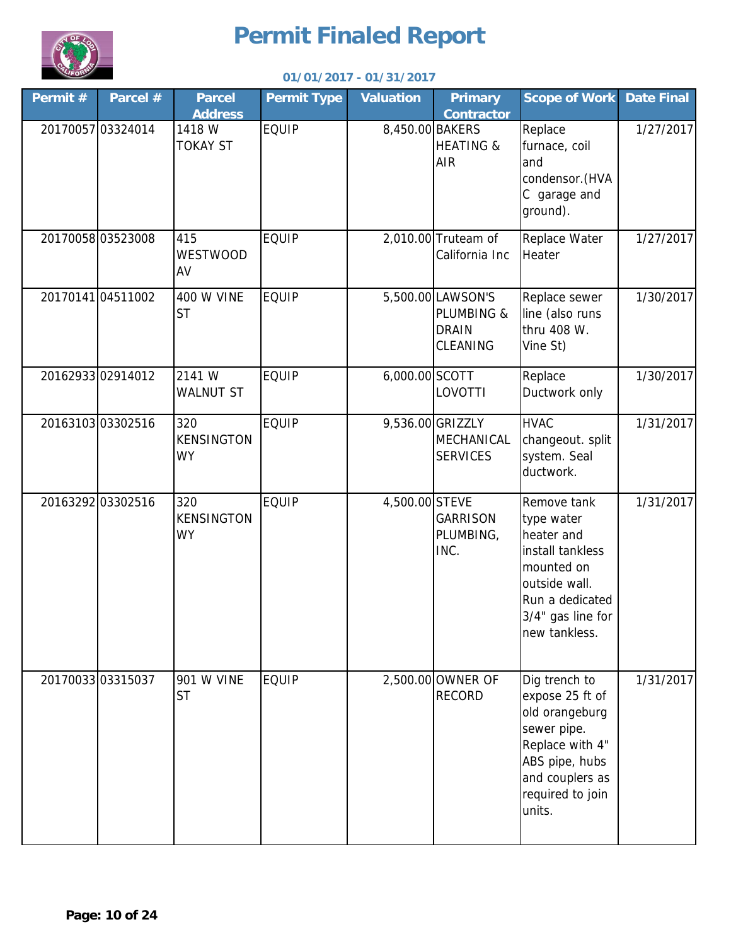

| Permit $#$ | Parcel #          | <b>Parcel</b><br><b>Address</b>       | <b>Permit Type</b> | <b>Valuation</b> | <b>Primary</b><br><b>Contractor</b>                         | <b>Scope of Work</b>                                                                                                                                    | <b>Date Final</b> |
|------------|-------------------|---------------------------------------|--------------------|------------------|-------------------------------------------------------------|---------------------------------------------------------------------------------------------------------------------------------------------------------|-------------------|
|            | 20170057 03324014 | 1418 W<br><b>TOKAY ST</b>             | <b>EQUIP</b>       | 8,450.00 BAKERS  | <b>HEATING &amp;</b><br><b>AIR</b>                          | Replace<br>furnace, coil<br>and<br>condensor. (HVA<br>C garage and<br>ground).                                                                          | 1/27/2017         |
|            | 2017005803523008  | 415<br><b>WESTWOOD</b><br>AV          | <b>EQUIP</b>       |                  | 2,010.00 Truteam of<br>California Inc                       | Replace Water<br>Heater                                                                                                                                 | 1/27/2017         |
|            | 2017014104511002  | <b>400 W VINE</b><br><b>ST</b>        | <b>EQUIP</b>       |                  | 5,500.00 LAWSON'S<br>PLUMBING &<br><b>DRAIN</b><br>CLEANING | Replace sewer<br>line (also runs<br>thru 408 W.<br>Vine St)                                                                                             | 1/30/2017         |
|            | 20162933 02914012 | 2141 W<br><b>WALNUT ST</b>            | <b>EQUIP</b>       | 6,000.00 SCOTT   | LOVOTTI                                                     | Replace<br>Ductwork only                                                                                                                                | 1/30/2017         |
|            | 2016310303302516  | 320<br><b>KENSINGTON</b><br><b>WY</b> | <b>EQUIP</b>       |                  | 9,536.00 GRIZZLY<br>MECHANICAL<br><b>SERVICES</b>           | <b>HVAC</b><br>changeout. split<br>system. Seal<br>ductwork.                                                                                            | 1/31/2017         |
|            | 20163292 03302516 | 320<br><b>KENSINGTON</b><br><b>WY</b> | <b>EQUIP</b>       | 4,500.00 STEVE   | <b>GARRISON</b><br>PLUMBING,<br>INC.                        | Remove tank<br>type water<br>heater and<br>install tankless<br>mounted on<br>outside wall.<br>Run a dedicated<br>3/4" gas line for<br>new tankless.     | 1/31/2017         |
|            | 20170033 03315037 | 901 W VINE<br><b>ST</b>               | <b>EQUIP</b>       |                  | 2,500.00 OWNER OF<br><b>RECORD</b>                          | Dig trench to<br>expose 25 ft of<br>old orangeburg<br>sewer pipe.<br>Replace with 4"<br>ABS pipe, hubs<br>and couplers as<br>required to join<br>units. | 1/31/2017         |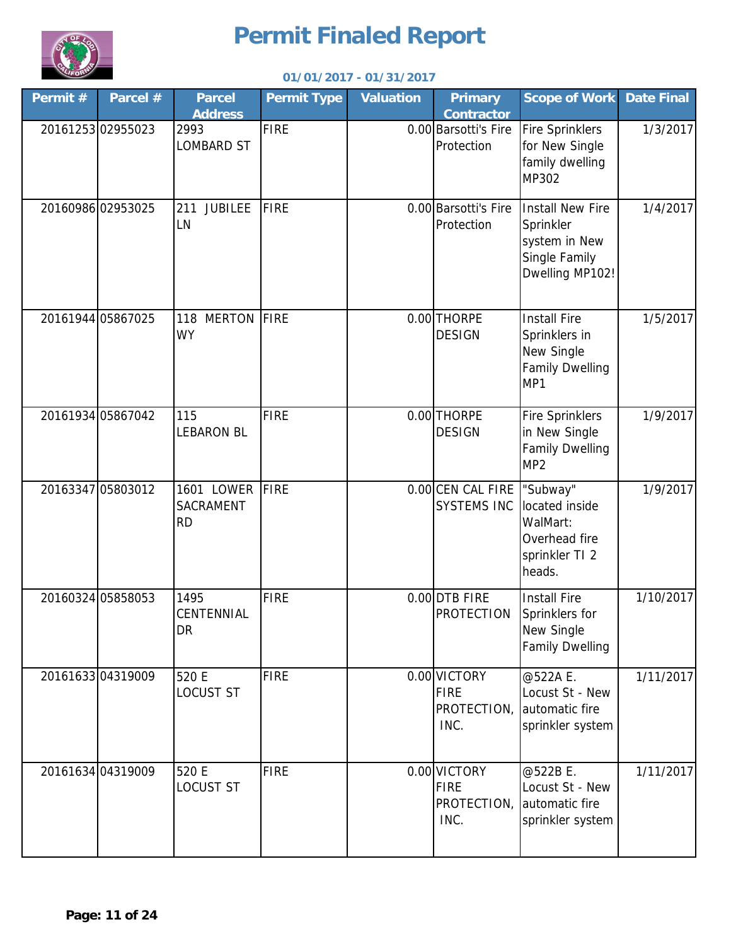

| Permit # | Parcel #          | <b>Parcel</b><br><b>Address</b>                    | <b>Permit Type</b> | <b>Valuation</b> | <b>Primary</b><br><b>Contractor</b>                | <b>Scope of Work</b>                                                                      | <b>Date Final</b> |
|----------|-------------------|----------------------------------------------------|--------------------|------------------|----------------------------------------------------|-------------------------------------------------------------------------------------------|-------------------|
|          | 2016125302955023  | 2993<br><b>LOMBARD ST</b>                          | <b>FIRE</b>        |                  | 0.00 Barsotti's Fire<br>Protection                 | <b>Fire Sprinklers</b><br>for New Single<br>family dwelling<br>MP302                      | 1/3/2017          |
|          | 20160986 02953025 | <b>JUBILEE</b><br>211<br>LN                        | <b>FIRE</b>        |                  | 0.00 Barsotti's Fire<br>Protection                 | <b>Install New Fire</b><br>Sprinkler<br>system in New<br>Single Family<br>Dwelling MP102! | 1/4/2017          |
|          | 20161944 05867025 | <b>MERTON</b><br>118<br><b>WY</b>                  | FIRE               |                  | 0.00 THORPE<br><b>DESIGN</b>                       | <b>Install Fire</b><br>Sprinklers in<br>New Single<br><b>Family Dwelling</b><br>MP1       | 1/5/2017          |
|          | 20161934 05867042 | 115<br><b>LEBARON BL</b>                           | <b>FIRE</b>        |                  | 0.00 THORPE<br><b>DESIGN</b>                       | <b>Fire Sprinklers</b><br>in New Single<br><b>Family Dwelling</b><br>MP <sub>2</sub>      | 1/9/2017          |
|          | 20163347 05803012 | <b>1601 LOWER</b><br><b>SACRAMENT</b><br><b>RD</b> | FIRE               |                  | 0.00 CEN CAL FIRE<br><b>SYSTEMS INC</b>            | "Subway"<br>located inside<br>WalMart:<br>Overhead fire<br>sprinkler TI 2<br>heads.       | 1/9/2017          |
|          | 20160324 05858053 | 1495<br>CENTENNIAL<br><b>DR</b>                    | <b>FIRE</b>        |                  | 0.00 DTB FIRE<br><b>PROTECTION</b>                 | <b>Install Fire</b><br>Sprinklers for<br>New Single<br><b>Family Dwelling</b>             | 1/10/2017         |
|          | 2016163304319009  | 520 E<br><b>LOCUST ST</b>                          | <b>FIRE</b>        |                  | 0.00 VICTORY<br><b>FIRE</b><br>PROTECTION,<br>INC. | @522A E.<br>Locust St - New<br>automatic fire<br>sprinkler system                         | 1/11/2017         |
|          | 20161634 04319009 | 520 E<br><b>LOCUST ST</b>                          | <b>FIRE</b>        |                  | 0.00 VICTORY<br><b>FIRE</b><br>PROTECTION,<br>INC. | @522B E.<br>Locust St - New<br>automatic fire<br>sprinkler system                         | 1/11/2017         |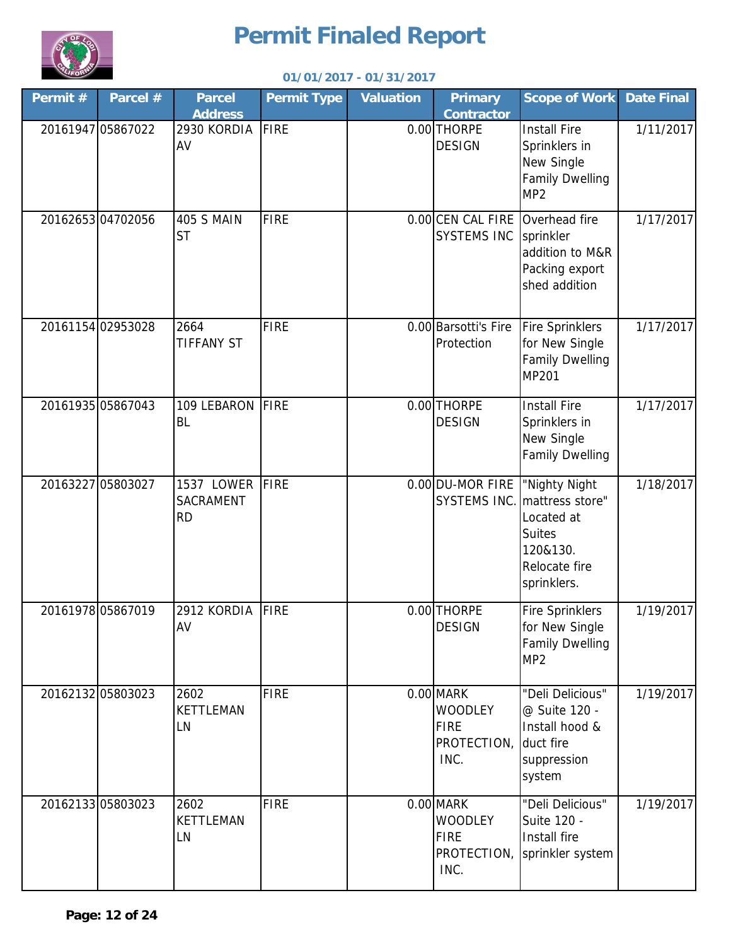

| Permit # | Parcel #          | <b>Parcel</b><br><b>Address</b>             | <b>Permit Type</b> | <b>Valuation</b> | <b>Primary</b><br><b>Contractor</b>                               | <b>Scope of Work</b>                                                                                                     | <b>Date Final</b> |
|----------|-------------------|---------------------------------------------|--------------------|------------------|-------------------------------------------------------------------|--------------------------------------------------------------------------------------------------------------------------|-------------------|
|          | 20161947 05867022 | 2930 KORDIA<br>AV                           | <b>FIRE</b>        |                  | 0.00 THORPE<br><b>DESIGN</b>                                      | <b>Install Fire</b><br>Sprinklers in<br>New Single<br><b>Family Dwelling</b><br>MP <sub>2</sub>                          | 1/11/2017         |
|          | 2016265304702056  | 405 S MAIN<br><b>ST</b>                     | <b>FIRE</b>        |                  | 0.00 CEN CAL FIRE Overhead fire<br><b>SYSTEMS INC</b>             | sprinkler<br>addition to M&R<br>Packing export<br>shed addition                                                          | 1/17/2017         |
|          | 20161154 02953028 | 2664<br><b>TIFFANY ST</b>                   | <b>FIRE</b>        |                  | 0.00 Barsotti's Fire<br>Protection                                | <b>Fire Sprinklers</b><br>for New Single<br><b>Family Dwelling</b><br>MP201                                              | 1/17/2017         |
|          | 20161935 05867043 | 109 LEBARON<br><b>BL</b>                    | FIRE               |                  | 0.00 THORPE<br><b>DESIGN</b>                                      | <b>Install Fire</b><br>Sprinklers in<br>New Single<br><b>Family Dwelling</b>                                             | 1/17/2017         |
|          | 20163227 05803027 | 1537 LOWER<br><b>SACRAMENT</b><br><b>RD</b> | <b>FIRE</b>        |                  | 0.00 DU-MOR FIRE                                                  | "Nighty Night<br>SYSTEMS INC. mattress store"<br>Located at<br><b>Suites</b><br>120&130.<br>Relocate fire<br>sprinklers. | 1/18/2017         |
|          | 20161978 05867019 | 2912 KORDIA<br>AV                           | <b>FIRE</b>        |                  | 0.00 THORPE<br><b>DESIGN</b>                                      | <b>Fire Sprinklers</b><br>for New Single<br><b>Family Dwelling</b><br>MP <sub>2</sub>                                    | 1/19/2017         |
|          | 2016213205803023  | 2602<br><b>KETTLEMAN</b><br>LN              | <b>FIRE</b>        |                  | 0.00 MARK<br><b>WOODLEY</b><br><b>FIRE</b><br>PROTECTION,<br>INC. | "Deli Delicious"<br>@ Suite 120 -<br>Install hood &<br>duct fire<br>suppression<br>system                                | 1/19/2017         |
|          | 2016213305803023  | 2602<br><b>KETTLEMAN</b><br>LN              | <b>FIRE</b>        |                  | 0.00 MARK<br><b>WOODLEY</b><br><b>FIRE</b><br>PROTECTION,<br>INC. | "Deli Delicious"<br>Suite 120 -<br>Install fire<br>sprinkler system                                                      | 1/19/2017         |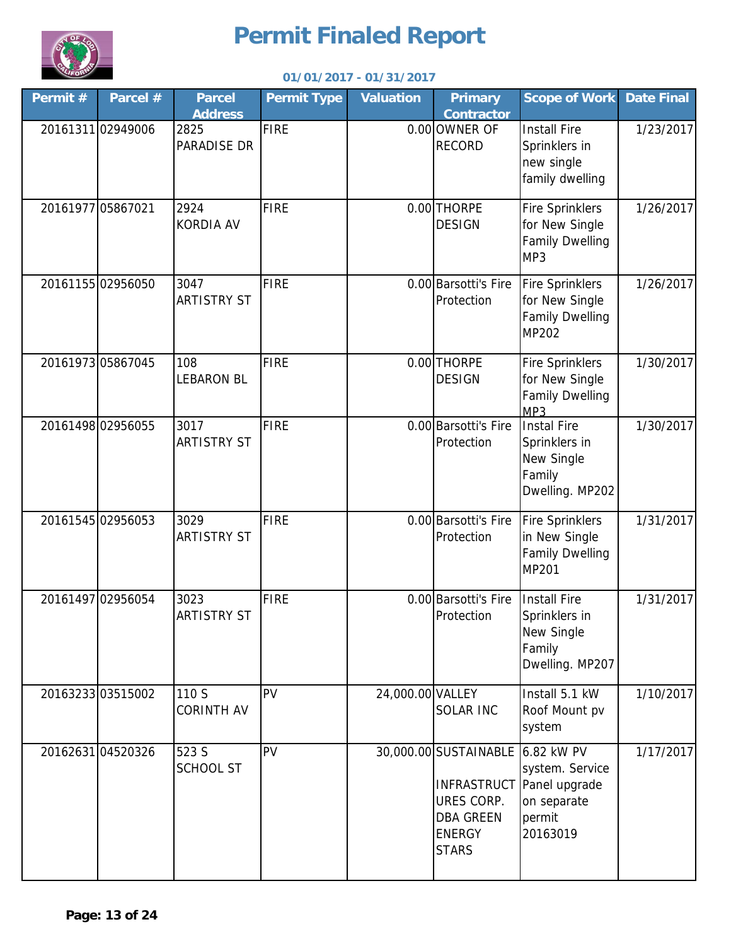

| Permit #          | Parcel #          | <b>Parcel</b><br><b>Address</b> | <b>Permit Type</b> | <b>Valuation</b> | <b>Primary</b><br><b>Contractor</b>                                                                 | <b>Scope of Work</b>                                                                     | <b>Date Final</b> |
|-------------------|-------------------|---------------------------------|--------------------|------------------|-----------------------------------------------------------------------------------------------------|------------------------------------------------------------------------------------------|-------------------|
|                   | 20161311 02949006 | 2825<br><b>PARADISE DR</b>      | <b>FIRE</b>        |                  | 0.00 OWNER OF<br><b>RECORD</b>                                                                      | <b>Install Fire</b><br>Sprinklers in<br>new single<br>family dwelling                    | 1/23/2017         |
| 20161977 05867021 |                   | 2924<br><b>KORDIA AV</b>        | <b>FIRE</b>        |                  | 0.00 THORPE<br><b>DESIGN</b>                                                                        | <b>Fire Sprinklers</b><br>for New Single<br><b>Family Dwelling</b><br>MP3                | 1/26/2017         |
|                   | 2016115502956050  | 3047<br><b>ARTISTRY ST</b>      | <b>FIRE</b>        |                  | 0.00 Barsotti's Fire<br>Protection                                                                  | <b>Fire Sprinklers</b><br>for New Single<br>Family Dwelling<br>MP202                     | 1/26/2017         |
|                   | 20161973 05867045 | 108<br><b>LEBARON BL</b>        | <b>FIRE</b>        |                  | 0.00 THORPE<br><b>DESIGN</b>                                                                        | <b>Fire Sprinklers</b><br>for New Single<br><b>Family Dwelling</b><br>MP3                | 1/30/2017         |
|                   | 20161498 02956055 | 3017<br><b>ARTISTRY ST</b>      | <b>FIRE</b>        |                  | 0.00 Barsotti's Fire<br>Protection                                                                  | <b>Instal Fire</b><br>Sprinklers in<br>New Single<br>Family<br>Dwelling. MP202           | 1/30/2017         |
|                   | 20161545 02956053 | 3029<br><b>ARTISTRY ST</b>      | <b>FIRE</b>        |                  | 0.00 Barsotti's Fire<br>Protection                                                                  | <b>Fire Sprinklers</b><br>in New Single<br><b>Family Dwelling</b><br>MP201               | 1/31/2017         |
|                   | 20161497 02956054 | 3023<br><b>ARTISTRY ST</b>      | <b>FIRE</b>        |                  | 0.00 Barsotti's Fire<br>Protection                                                                  | <b>Install Fire</b><br>Sprinklers in<br>New Single<br>Family<br>Dwelling. MP207          | 1/31/2017         |
|                   | 2016323303515002  | 110 S<br><b>CORINTH AV</b>      | PV                 | 24,000.00 VALLEY | <b>SOLAR INC</b>                                                                                    | Install 5.1 kW<br>Roof Mount pv<br>system                                                | 1/10/2017         |
|                   | 20162631 04520326 | 523 S<br><b>SCHOOL ST</b>       | PV                 |                  | 30,000.00 SUSTAINABLE 6.82 KW PV<br>URES CORP.<br><b>DBA GREEN</b><br><b>ENERGY</b><br><b>STARS</b> | system. Service<br><b>INFRASTRUCT</b> Panel upgrade<br>on separate<br>permit<br>20163019 | 1/17/2017         |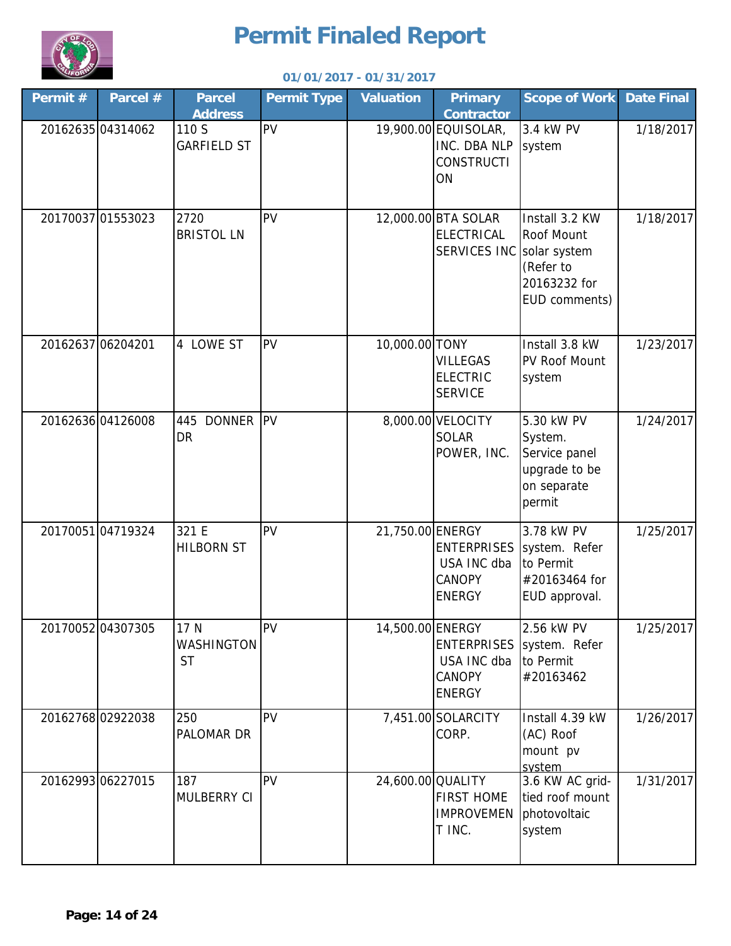

| Permit #          | Parcel #          | <b>Parcel</b>                                 | <b>Permit Type</b> | <b>Valuation</b>  | <b>Primary</b>                                                                       | <b>Scope of Work</b>                                                             | <b>Date Final</b> |
|-------------------|-------------------|-----------------------------------------------|--------------------|-------------------|--------------------------------------------------------------------------------------|----------------------------------------------------------------------------------|-------------------|
|                   | 20162635 04314062 | <b>Address</b><br>110 S<br><b>GARFIELD ST</b> | PV                 |                   | <b>Contractor</b><br>19,900.00 EQUISOLAR,<br>INC. DBA NLP<br><b>CONSTRUCTI</b><br>ON | 3.4 kW PV<br>system                                                              | 1/18/2017         |
|                   | 20170037 01553023 | 2720<br><b>BRISTOL LN</b>                     | PV                 |                   | 12,000.00 BTA SOLAR<br><b>ELECTRICAL</b><br>SERVICES INC Solar system                | Install 3.2 KW<br>Roof Mount<br>(Refer to<br>20163232 for<br>EUD comments)       | 1/18/2017         |
| 20162637 06204201 |                   | 4 LOWE ST                                     | PV                 | 10,000.00 TONY    | <b>VILLEGAS</b><br><b>ELECTRIC</b><br><b>SERVICE</b>                                 | Install 3.8 kW<br>PV Roof Mount<br>system                                        | 1/23/2017         |
|                   | 20162636 04126008 | 445 DONNER<br><b>DR</b>                       | <b>IPV</b>         |                   | 8,000.00 VELOCITY<br><b>SOLAR</b><br>POWER, INC.                                     | 5.30 kW PV<br>System.<br>Service panel<br>upgrade to be<br>on separate<br>permit | 1/24/2017         |
|                   | 2017005104719324  | 321 E<br><b>HILBORN ST</b>                    | PV                 | 21,750.00 ENERGY  | <b>ENTERPRISES</b><br>USA INC dba<br><b>CANOPY</b><br><b>ENERGY</b>                  | 3.78 kW PV<br>system. Refer<br>to Permit<br>#20163464 for<br>EUD approval.       | 1/25/2017         |
|                   | 20170052 04307305 | 17 N<br>WASHINGTON<br><b>ST</b>               | <b>PV</b>          | 14,500.00 ENERGY  | USA INC dba<br><b>CANOPY</b><br><b>ENERGY</b>                                        | 2.56 kW PV<br>ENTERPRISES system. Refer<br>to Permit<br>#20163462                | 1/25/2017         |
|                   | 20162768 02922038 | 250<br>PALOMAR DR                             | PV                 |                   | 7,451.00 SOLARCITY<br>CORP.                                                          | Install 4.39 kW<br>(AC) Roof<br>mount pv<br>system                               | 1/26/2017         |
|                   | 20162993 06227015 | 187<br>MULBERRY CI                            | PV                 | 24,600.00 QUALITY | <b>FIRST HOME</b><br><b>IMPROVEMEN</b><br>T INC.                                     | 3.6 KW AC grid-<br>tied roof mount<br>photovoltaic<br>system                     | 1/31/2017         |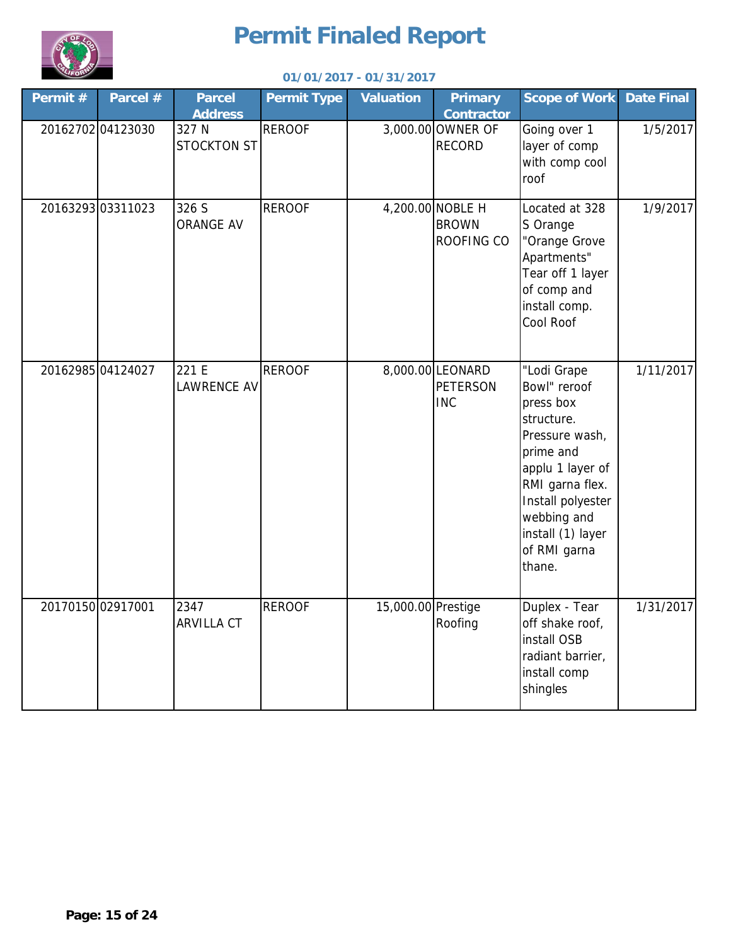

| Permit #          | Parcel #          | <b>Parcel</b><br><b>Address</b> | <b>Permit Type</b> | <b>Valuation</b>   | <b>Primary</b><br><b>Contractor</b>               | <b>Scope of Work</b>                                                                                                                                                                                            | <b>Date Final</b> |
|-------------------|-------------------|---------------------------------|--------------------|--------------------|---------------------------------------------------|-----------------------------------------------------------------------------------------------------------------------------------------------------------------------------------------------------------------|-------------------|
|                   | 20162702 04123030 | 327 N<br><b>STOCKTON ST</b>     | <b>REROOF</b>      |                    | 3,000.00 OWNER OF<br><b>RECORD</b>                | Going over 1<br>layer of comp<br>with comp cool<br>roof                                                                                                                                                         | 1/5/2017          |
|                   | 2016329303311023  | 326 S<br><b>ORANGE AV</b>       | <b>REROOF</b>      |                    | 4,200.00 NOBLE H<br><b>BROWN</b><br>ROOFING CO    | Located at 328<br>S Orange<br>"Orange Grove<br>Apartments"<br>Tear off 1 layer<br>of comp and<br>install comp.<br>Cool Roof                                                                                     | 1/9/2017          |
|                   | 20162985 04124027 | 221 E<br><b>LAWRENCE AV</b>     | <b>REROOF</b>      |                    | 8,000.00 LEONARD<br><b>PETERSON</b><br><b>INC</b> | "Lodi Grape<br>Bowl" reroof<br>press box<br>structure.<br>Pressure wash,<br>prime and<br>applu 1 layer of<br>RMI garna flex.<br>Install polyester<br>webbing and<br>install (1) layer<br>of RMI garna<br>thane. | 1/11/2017         |
| 20170150 02917001 |                   | 2347<br><b>ARVILLA CT</b>       | <b>REROOF</b>      | 15,000.00 Prestige | Roofing                                           | Duplex - Tear<br>off shake roof,<br>install OSB<br>radiant barrier,<br>install comp<br>shingles                                                                                                                 | 1/31/2017         |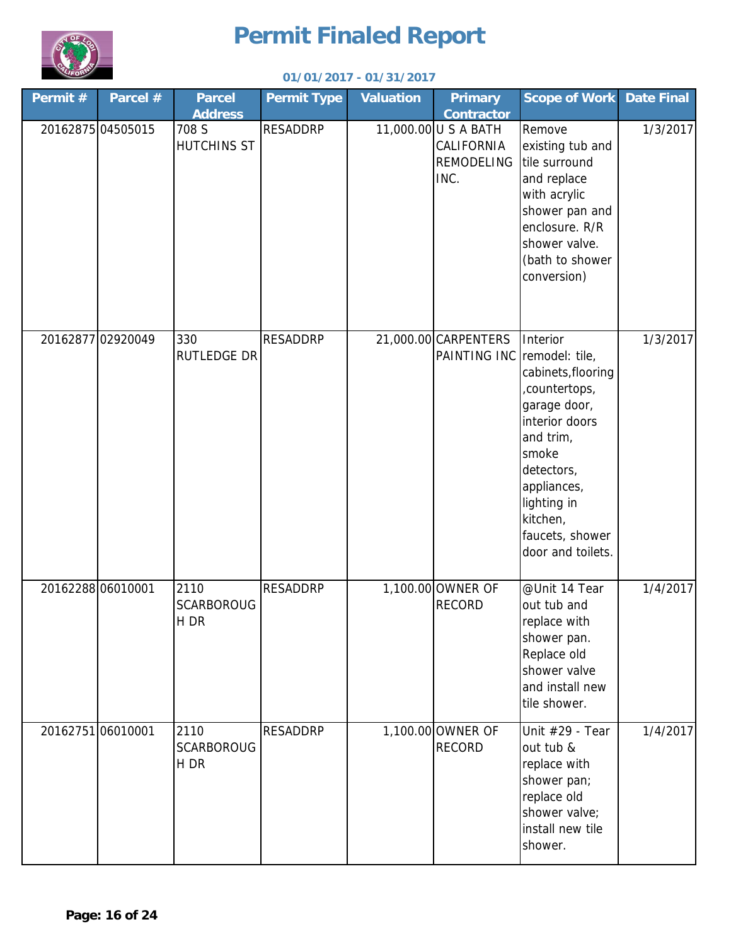

| Permit # | Parcel #          | <b>Parcel</b><br><b>Address</b>   | <b>Permit Type</b> | <b>Valuation</b> | <b>Primary</b><br><b>Contractor</b>                      | <b>Scope of Work</b>                                                                                                                                                                                    | <b>Date Final</b> |
|----------|-------------------|-----------------------------------|--------------------|------------------|----------------------------------------------------------|---------------------------------------------------------------------------------------------------------------------------------------------------------------------------------------------------------|-------------------|
|          | 20162875 04505015 | 708 S<br><b>HUTCHINS ST</b>       | <b>RESADDRP</b>    |                  | 11,000.00 U S A BATH<br>CALIFORNIA<br>REMODELING<br>INC. | Remove<br>existing tub and<br>tile surround<br>and replace<br>with acrylic<br>shower pan and<br>enclosure. R/R<br>shower valve.<br>(bath to shower<br>conversion)                                       | 1/3/2017          |
|          | 20162877 02920049 | 330<br><b>RUTLEDGE DR</b>         | <b>RESADDRP</b>    |                  | 21,000.00 CARPENTERS<br>PAINTING INC remodel: tile,      | Interior<br>cabinets, flooring<br>,countertops,<br>garage door,<br>interior doors<br>and trim,<br>smoke<br>detectors,<br>appliances,<br>lighting in<br>kitchen,<br>faucets, shower<br>door and toilets. | 1/3/2017          |
|          | 20162288 06010001 | 2110<br><b>SCARBOROUG</b><br>H DR | <b>RESADDRP</b>    |                  | 1,100.00 OWNER OF<br><b>RECORD</b>                       | @Unit 14 Tear<br>out tub and<br>replace with<br>shower pan.<br>Replace old<br>shower valve<br>and install new<br>tile shower.                                                                           | 1/4/2017          |
|          | 20162751 06010001 | 2110<br><b>SCARBOROUG</b><br>H DR | <b>RESADDRP</b>    |                  | 1,100.00 OWNER OF<br><b>RECORD</b>                       | Unit #29 - Tear<br>out tub &<br>replace with<br>shower pan;<br>replace old<br>shower valve;<br>install new tile<br>shower.                                                                              | 1/4/2017          |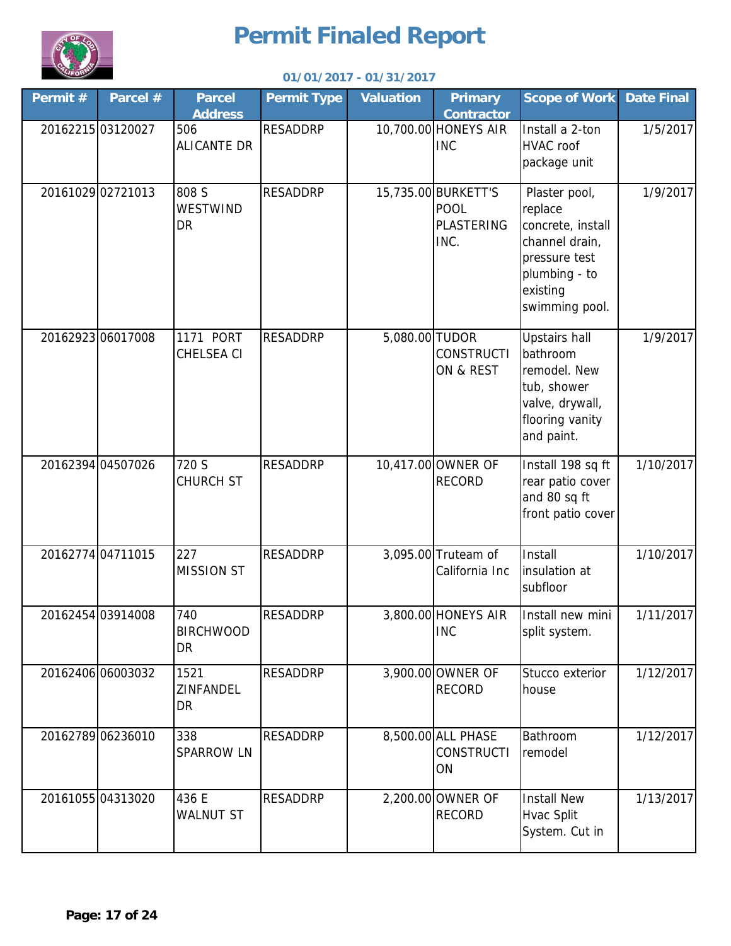

| Permit # | Parcel #          | <b>Parcel</b><br><b>Address</b> | <b>Permit Type</b> | <b>Valuation</b> | <b>Primary</b><br>Contractor                             | <b>Scope of Work</b>                                                                                                            | <b>Date Final</b> |
|----------|-------------------|---------------------------------|--------------------|------------------|----------------------------------------------------------|---------------------------------------------------------------------------------------------------------------------------------|-------------------|
|          | 2016221503120027  | 506<br><b>ALICANTE DR</b>       | <b>RESADDRP</b>    |                  | 10,700.00 HONEYS AIR<br><b>INC</b>                       | Install a 2-ton<br>HVAC roof<br>package unit                                                                                    | 1/5/2017          |
|          | 20161029 02721013 | 808 S<br>WESTWIND<br>DR         | <b>RESADDRP</b>    |                  | 15,735.00 BURKETT'S<br><b>POOL</b><br>PLASTERING<br>INC. | Plaster pool,<br>replace<br>concrete, install<br>channel drain,<br>pressure test<br>plumbing - to<br>existing<br>swimming pool. | 1/9/2017          |
|          | 20162923 06017008 | 1171 PORT<br><b>CHELSEA CI</b>  | <b>RESADDRP</b>    | 5,080.00 TUDOR   | <b>CONSTRUCTI</b><br>ON & REST                           | <b>Upstairs hall</b><br>bathroom<br>remodel. New<br>tub, shower<br>valve, drywall,<br>flooring vanity<br>and paint.             | 1/9/2017          |
|          | 20162394 04507026 | 720 S<br><b>CHURCH ST</b>       | <b>RESADDRP</b>    |                  | 10,417.00 OWNER OF<br><b>RECORD</b>                      | Install 198 sq ft<br>rear patio cover<br>and 80 sq ft<br>front patio cover                                                      | 1/10/2017         |
|          | 20162774 04711015 | 227<br><b>MISSION ST</b>        | <b>RESADDRP</b>    |                  | 3,095.00 Truteam of<br>California Inc                    | Install<br>insulation at<br>subfloor                                                                                            | 1/10/2017         |
|          | 20162454 03914008 | 740<br><b>BIRCHWOOD</b><br>DR   | <b>RESADDRP</b>    |                  | 3,800.00 HONEYS AIR<br><b>INC</b>                        | Install new mini<br>split system.                                                                                               | 1/11/2017         |
|          | 20162406 06003032 | 1521<br>ZINFANDEL<br>DR         | <b>RESADDRP</b>    |                  | 3,900.00 OWNER OF<br><b>RECORD</b>                       | Stucco exterior<br>house                                                                                                        | 1/12/2017         |
|          | 20162789 06236010 | 338<br><b>SPARROW LN</b>        | <b>RESADDRP</b>    |                  | 8,500.00 ALL PHASE<br><b>CONSTRUCTI</b><br>ON            | Bathroom<br>remodel                                                                                                             | 1/12/2017         |
|          | 2016105504313020  | 436 E<br><b>WALNUT ST</b>       | <b>RESADDRP</b>    |                  | 2,200.00 OWNER OF<br><b>RECORD</b>                       | <b>Install New</b><br>Hvac Split<br>System. Cut in                                                                              | 1/13/2017         |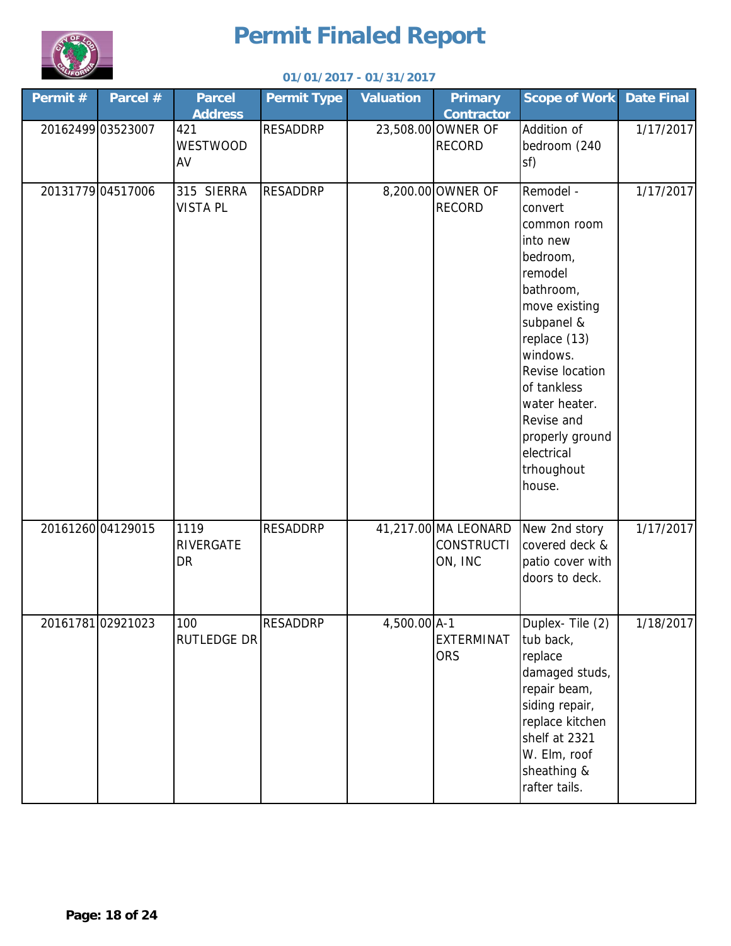

#### **Permit # Parcel # Parcel Permit Type Valuation Primary Contractor Scope of Work Date Final Parcel Address** 20162499 03523007 | 421 | RESADDRP | 23,508.00 OWNER OF RECORD Addition of bedroom (240 sf) 1/17/2017 20131779 04517006 315 SIERRA RESADDRP | 8,200.00 OWNER OF RECORD Remodel convert common room into new bedroom, remodel bathroom, move existing subpanel & replace (13) windows. Revise location of tankless water heater. Revise and properly ground electrical trhoughout house. 1/17/2017 20161260 04129015 RESADDRP 41,217.00 MA LEONARD **CONSTRUCTI** ON, INC New 2nd story covered deck & patio cover with doors to deck. 1/17/2017 20161781 02921023 RESADDRP 4,500.00 A-1 EXTERMINAT **ORS** Duplex- Tile (2) tub back, replace damaged studs, repair beam, siding repair, replace kitchen shelf at 2321 W. Elm, roof sheathing & rafter tails. 1/18/2017 315 SIERRA VISTA PL 1119 RIVERGATE **DR** 100 RUTLEDGE DR 421 WESTWOOD AV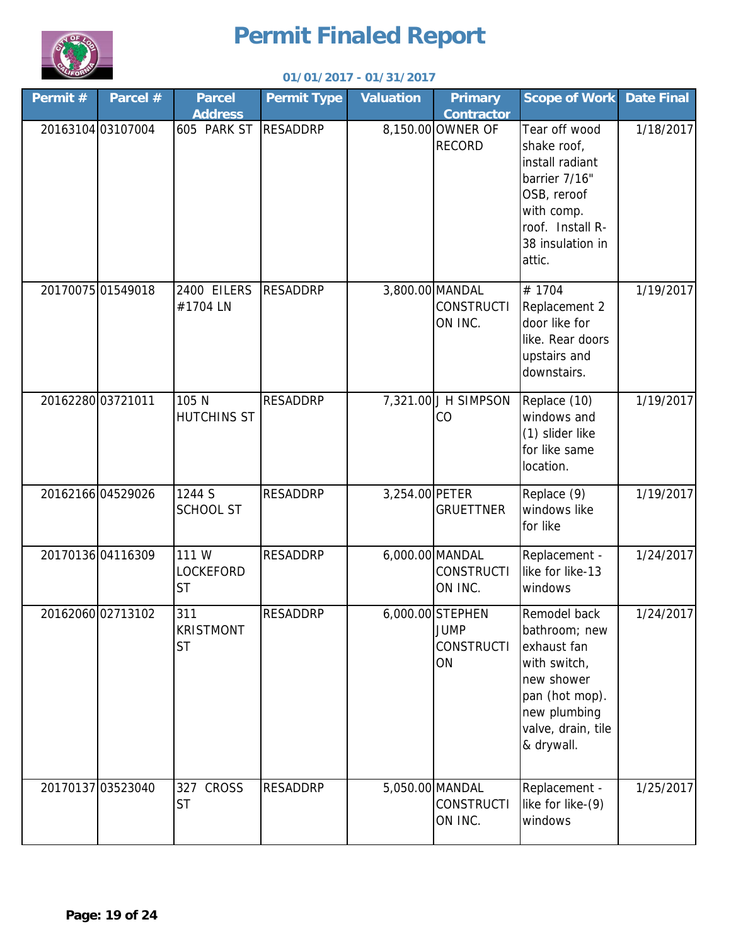

| Permit # | Parcel #          | <b>Parcel</b>                          | <b>Permit Type</b> | <b>Valuation</b> | <b>Primary</b>                                             | <b>Scope of Work</b>                                                                                                                             | <b>Date Final</b> |
|----------|-------------------|----------------------------------------|--------------------|------------------|------------------------------------------------------------|--------------------------------------------------------------------------------------------------------------------------------------------------|-------------------|
|          |                   | <b>Address</b>                         |                    |                  | <b>Contractor</b>                                          |                                                                                                                                                  |                   |
|          | 20163104 03107004 | 605 PARK ST                            | <b>RESADDRP</b>    |                  | 8,150.00 OWNER OF<br><b>RECORD</b>                         | Tear off wood<br>shake roof,<br>install radiant<br>barrier 7/16"<br>OSB, reroof<br>with comp.<br>roof. Install R-<br>38 insulation in<br>attic.  | 1/18/2017         |
|          | 20170075 01549018 | 2400 EILERS<br>#1704 LN                | <b>RESADDRP</b>    |                  | 3,800.00 MANDAL<br><b>CONSTRUCTI</b><br>ON INC.            | #1704<br>Replacement 2<br>door like for<br>like. Rear doors<br>upstairs and<br>downstairs.                                                       | 1/19/2017         |
|          | 20162280 03721011 | 105 N<br><b>HUTCHINS ST</b>            | <b>RESADDRP</b>    |                  | 7,321.00 J H SIMPSON<br>CO                                 | Replace (10)<br>windows and<br>(1) slider like<br>for like same<br>location.                                                                     | 1/19/2017         |
|          | 20162166 04529026 | 1244 S<br><b>SCHOOL ST</b>             | <b>RESADDRP</b>    | 3,254.00 PETER   | <b>GRUETTNER</b>                                           | Replace (9)<br>windows like<br>for like                                                                                                          | 1/19/2017         |
|          | 20170136 04116309 | 111 W<br><b>LOCKEFORD</b><br><b>ST</b> | <b>RESADDRP</b>    |                  | 6,000.00 MANDAL<br><b>CONSTRUCTI</b><br>ON INC.            | Replacement -<br>like for like-13<br>windows                                                                                                     | 1/24/2017         |
|          | 20162060 02713102 | 311<br><b>KRISTMONT</b><br><b>ST</b>   | <b>RESADDRP</b>    |                  | 6,000.00 STEPHEN<br><b>JUMP</b><br><b>CONSTRUCTI</b><br>ON | Remodel back<br>bathroom; new<br>exhaust fan<br>with switch,<br>new shower<br>pan (hot mop).<br>new plumbing<br>valve, drain, tile<br>& drywall. | 1/24/2017         |
|          | 20170137 03523040 | 327 CROSS<br><b>ST</b>                 | <b>RESADDRP</b>    |                  | 5,050.00 MANDAL<br><b>CONSTRUCTI</b><br>ON INC.            | Replacement -<br>like for like-(9)<br>windows                                                                                                    | 1/25/2017         |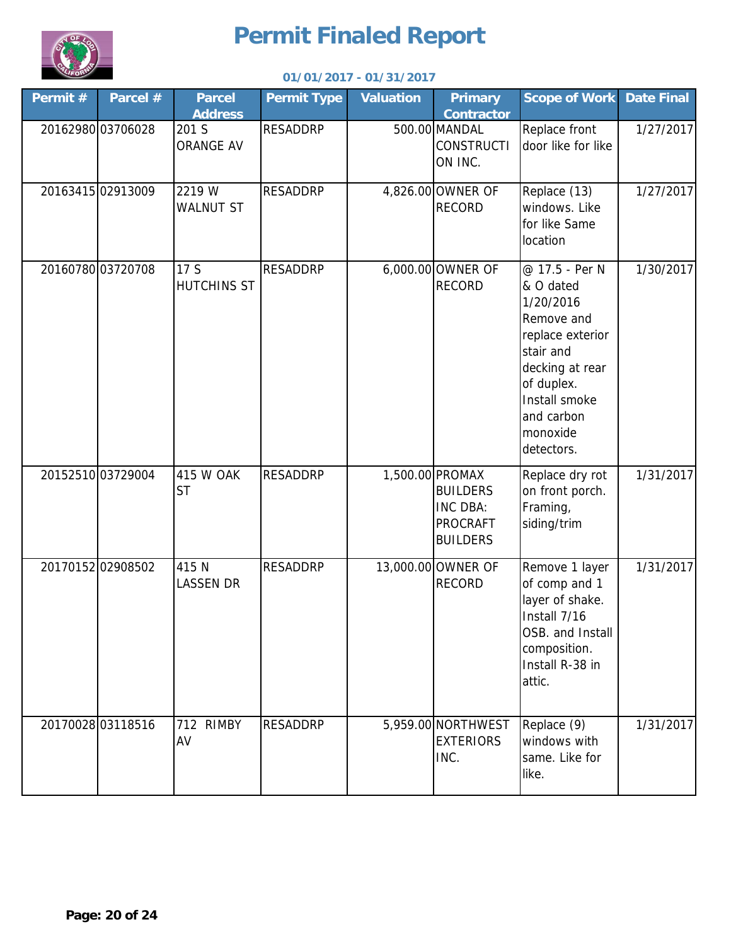

| Permit # | Parcel #          | <b>Parcel</b><br><b>Address</b> | <b>Permit Type</b> | <b>Valuation</b> | <b>Primary</b><br><b>Contractor</b>                                                  | <b>Scope of Work</b>                                                                                                                                                              | <b>Date Final</b> |
|----------|-------------------|---------------------------------|--------------------|------------------|--------------------------------------------------------------------------------------|-----------------------------------------------------------------------------------------------------------------------------------------------------------------------------------|-------------------|
|          | 20162980 03706028 | 201 S<br><b>ORANGE AV</b>       | <b>RESADDRP</b>    |                  | 500.00 MANDAL<br><b>CONSTRUCTI</b><br>ON INC.                                        | Replace front<br>door like for like                                                                                                                                               | 1/27/2017         |
|          | 20163415 02913009 | 2219 W<br><b>WALNUT ST</b>      | <b>RESADDRP</b>    |                  | 4,826.00 OWNER OF<br><b>RECORD</b>                                                   | Replace (13)<br>windows. Like<br>for like Same<br>location                                                                                                                        | 1/27/2017         |
|          | 20160780 03720708 | 17 S<br><b>HUTCHINS ST</b>      | <b>RESADDRP</b>    |                  | 6,000.00 OWNER OF<br><b>RECORD</b>                                                   | @ 17.5 - Per N<br>& O dated<br>1/20/2016<br>Remove and<br>replace exterior<br>stair and<br>decking at rear<br>of duplex.<br>Install smoke<br>and carbon<br>monoxide<br>detectors. | 1/30/2017         |
|          | 20152510 03729004 | 415 W OAK<br><b>ST</b>          | <b>RESADDRP</b>    |                  | 1,500.00 PROMAX<br><b>BUILDERS</b><br>INC DBA:<br><b>PROCRAFT</b><br><b>BUILDERS</b> | Replace dry rot<br>on front porch.<br>Framing,<br>siding/trim                                                                                                                     | 1/31/2017         |
|          | 2017015202908502  | 415 N<br><b>LASSEN DR</b>       | <b>RESADDRP</b>    |                  | 13,000.00 OWNER OF<br><b>RECORD</b>                                                  | Remove 1 layer<br>of comp and 1<br>layer of shake.<br>Install 7/16<br>OSB. and Install<br>composition.<br>Install R-38 in<br>attic.                                               | 1/31/2017         |
|          | 20170028 03118516 | 712 RIMBY<br>AV                 | <b>RESADDRP</b>    |                  | 5,959.00 NORTHWEST<br><b>EXTERIORS</b><br>INC.                                       | Replace (9)<br>windows with<br>same. Like for<br>like.                                                                                                                            | 1/31/2017         |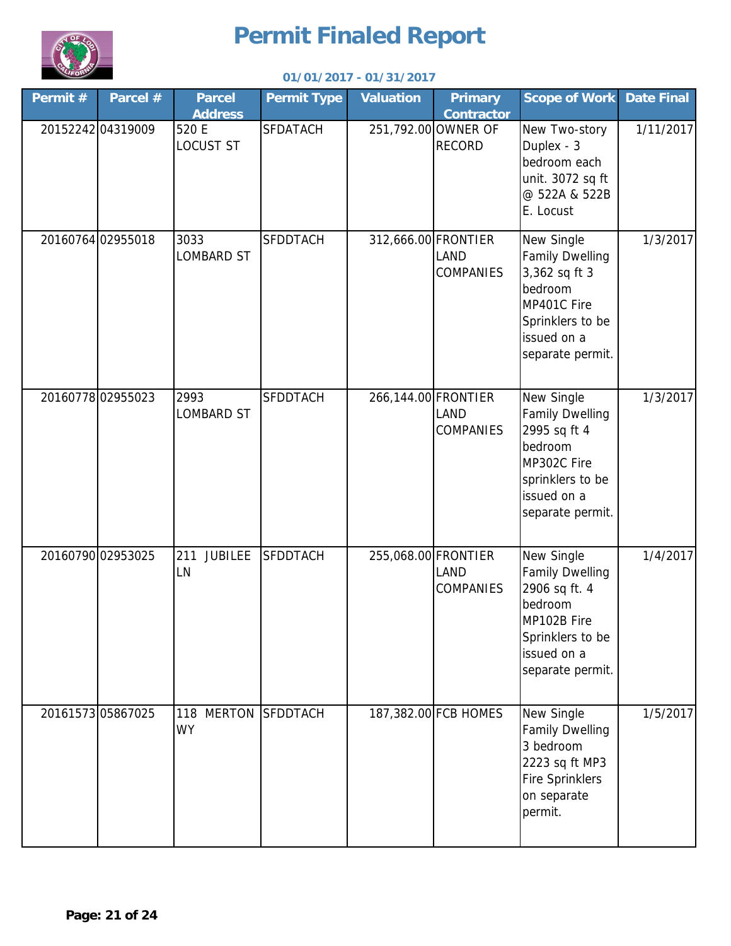

| Permit# | Parcel #          | <b>Parcel</b><br><b>Address</b>   | <b>Permit Type</b> | <b>Valuation</b>    | <b>Primary</b><br><b>Contractor</b>                    | <b>Scope of Work</b>                                                                                                                   | <b>Date Final</b> |
|---------|-------------------|-----------------------------------|--------------------|---------------------|--------------------------------------------------------|----------------------------------------------------------------------------------------------------------------------------------------|-------------------|
|         | 20152242 04319009 | 520 E<br><b>LOCUST ST</b>         | <b>SFDATACH</b>    |                     | 251,792.00 OWNER OF<br><b>RECORD</b>                   | New Two-story<br>Duplex - 3<br>bedroom each<br>unit. 3072 sq ft<br>@ 522A & 522B<br>E. Locust                                          | 1/11/2017         |
|         | 20160764 02955018 | 3033<br><b>LOMBARD ST</b>         | <b>SFDDTACH</b>    |                     | 312,666.00 FRONTIER<br><b>LAND</b><br><b>COMPANIES</b> | New Single<br><b>Family Dwelling</b><br>3,362 sq ft 3<br>bedroom<br>MP401C Fire<br>Sprinklers to be<br>issued on a<br>separate permit. | 1/3/2017          |
|         | 2016077802955023  | 2993<br><b>LOMBARD ST</b>         | <b>SFDDTACH</b>    | 266,144.00 FRONTIER | <b>LAND</b><br><b>COMPANIES</b>                        | New Single<br><b>Family Dwelling</b><br>2995 sq ft 4<br>bedroom<br>MP302C Fire<br>sprinklers to be<br>issued on a<br>separate permit.  | 1/3/2017          |
|         | 20160790 02953025 | <b>JUBILEE</b><br>211<br>LN       | <b>SFDDTACH</b>    | 255,068.00 FRONTIER | <b>LAND</b><br><b>COMPANIES</b>                        | New Single<br><b>Family Dwelling</b><br>2906 sq ft. 4<br>bedroom<br>MP102B Fire<br>Sprinklers to be<br>issued on a<br>separate permit. | 1/4/2017          |
|         | 2016157305867025  | <b>MERTON</b><br>118<br><b>WY</b> | <b>SFDDTACH</b>    |                     | 187,382.00 FCB HOMES                                   | New Single<br><b>Family Dwelling</b><br>3 bedroom<br>2223 sq ft MP3<br><b>Fire Sprinklers</b><br>on separate<br>permit.                | 1/5/2017          |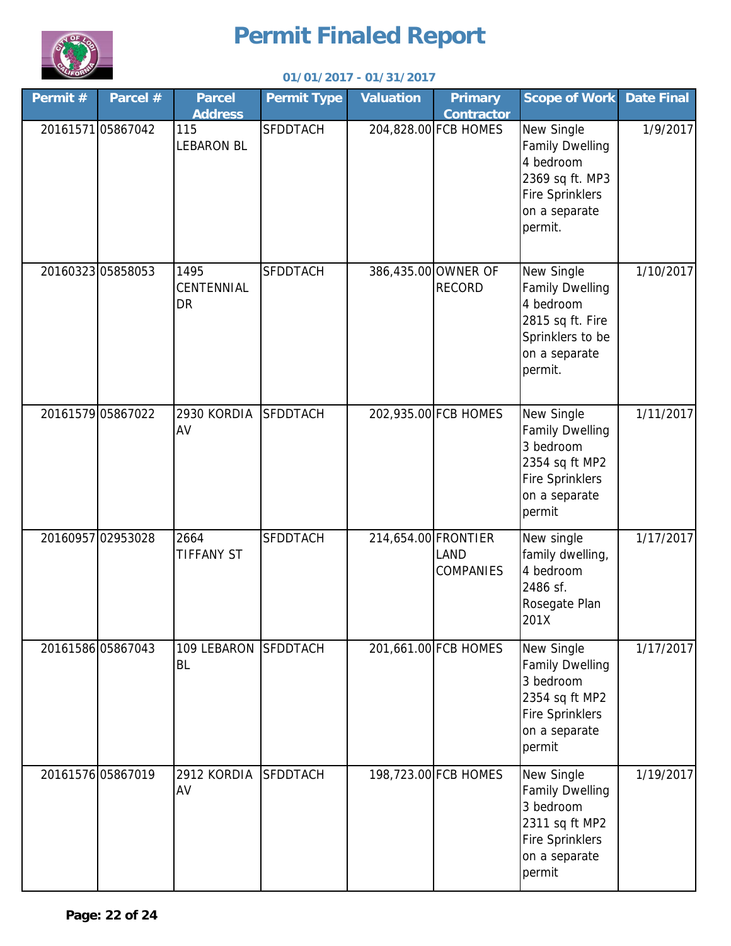

| Permit # | Parcel #          | <b>Parcel</b><br><b>Address</b> | <b>Permit Type</b> | <b>Valuation</b>    | <b>Primary</b><br><b>Contractor</b>  | <b>Scope of Work</b>                                                                                                       | <b>Date Final</b> |
|----------|-------------------|---------------------------------|--------------------|---------------------|--------------------------------------|----------------------------------------------------------------------------------------------------------------------------|-------------------|
|          | 2016157105867042  | 115<br><b>LEBARON BL</b>        | <b>SFDDTACH</b>    |                     | 204,828.00 FCB HOMES                 | New Single<br><b>Family Dwelling</b><br>4 bedroom<br>2369 sq ft. MP3<br><b>Fire Sprinklers</b><br>on a separate<br>permit. | 1/9/2017          |
|          | 20160323 05858053 | 1495<br>CENTENNIAL<br><b>DR</b> | <b>SFDDTACH</b>    |                     | 386,435.00 OWNER OF<br><b>RECORD</b> | New Single<br><b>Family Dwelling</b><br>4 bedroom<br>2815 sq ft. Fire<br>Sprinklers to be<br>on a separate<br>permit.      | 1/10/2017         |
|          | 20161579 05867022 | 2930 KORDIA<br>AV               | <b>SFDDTACH</b>    |                     | 202,935.00 FCB HOMES                 | New Single<br><b>Family Dwelling</b><br>3 bedroom<br>2354 sq ft MP2<br><b>Fire Sprinklers</b><br>on a separate<br>permit   | 1/11/2017         |
|          | 20160957 02953028 | 2664<br><b>TIFFANY ST</b>       | <b>SFDDTACH</b>    | 214,654.00 FRONTIER | <b>LAND</b><br><b>COMPANIES</b>      | New single<br>family dwelling,<br>4 bedroom<br>2486 sf.<br>Rosegate Plan<br>201X                                           | 1/17/2017         |
|          | 20161586 05867043 | 109 LEBARON<br>BL               | <b>SFDDTACH</b>    |                     | 201,661.00 FCB HOMES                 | New Single<br><b>Family Dwelling</b><br>3 bedroom<br>2354 sq ft MP2<br><b>Fire Sprinklers</b><br>on a separate<br>permit   | 1/17/2017         |
|          | 20161576 05867019 | 2912 KORDIA<br>AV               | <b>SFDDTACH</b>    |                     | 198,723.00 FCB HOMES                 | New Single<br><b>Family Dwelling</b><br>3 bedroom<br>2311 sq ft MP2<br><b>Fire Sprinklers</b><br>on a separate<br>permit   | 1/19/2017         |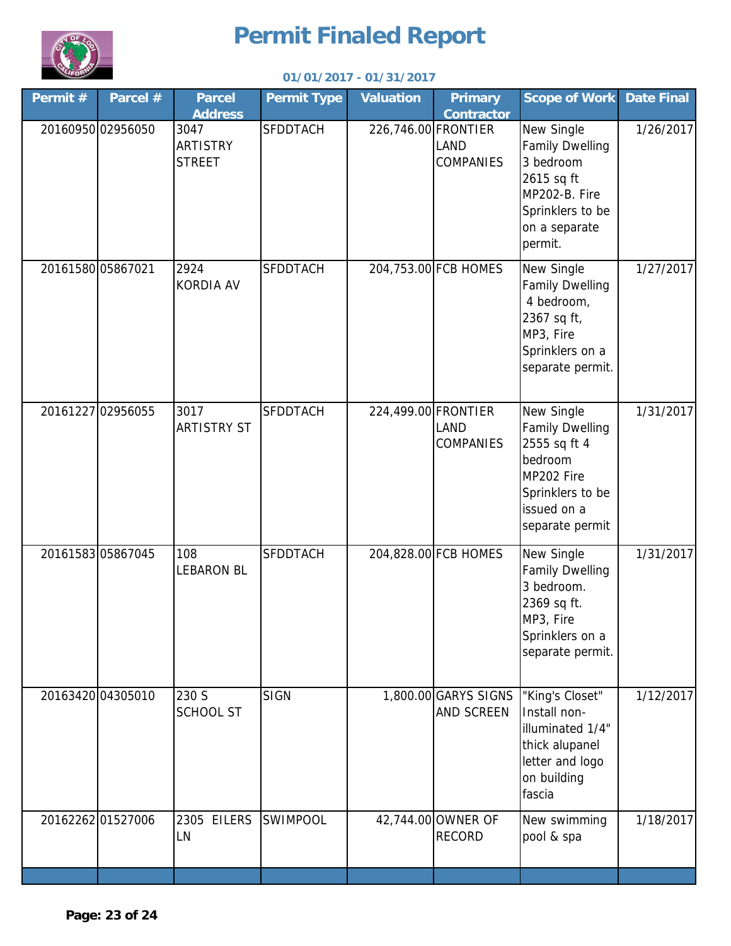

| Permit #          | Parcel #          | <b>Parcel</b><br><b>Address</b>          | <b>Permit Type</b> | <b>Valuation</b>    | <b>Primary</b><br><b>Contractor</b>                    | <b>Scope of Work</b>                                                                                                                | <b>Date Final</b> |
|-------------------|-------------------|------------------------------------------|--------------------|---------------------|--------------------------------------------------------|-------------------------------------------------------------------------------------------------------------------------------------|-------------------|
|                   | 20160950 02956050 | 3047<br><b>ARTISTRY</b><br><b>STREET</b> | <b>SFDDTACH</b>    |                     | 226,746.00 FRONTIER<br><b>LAND</b><br><b>COMPANIES</b> | New Single<br><b>Family Dwelling</b><br>3 bedroom<br>2615 sq ft<br>MP202-B. Fire<br>Sprinklers to be<br>on a separate<br>permit.    | 1/26/2017         |
| 20161580 05867021 |                   | 2924<br><b>KORDIA AV</b>                 | <b>SFDDTACH</b>    |                     | 204,753.00 FCB HOMES                                   | New Single<br><b>Family Dwelling</b><br>4 bedroom,<br>2367 sq ft,<br>MP3, Fire<br>Sprinklers on a<br>separate permit.               | 1/27/2017         |
|                   | 20161227 02956055 | 3017<br><b>ARTISTRY ST</b>               | <b>SFDDTACH</b>    | 224,499.00 FRONTIER | LAND<br><b>COMPANIES</b>                               | New Single<br><b>Family Dwelling</b><br>2555 sq ft 4<br>bedroom<br>MP202 Fire<br>Sprinklers to be<br>issued on a<br>separate permit | 1/31/2017         |
|                   | 2016158305867045  | 108<br><b>LEBARON BL</b>                 | <b>SFDDTACH</b>    |                     | 204,828.00 FCB HOMES                                   | New Single<br><b>Family Dwelling</b><br>3 bedroom.<br>2369 sq ft.<br>MP3, Fire<br>Sprinklers on a<br>separate permit.               | 1/31/2017         |
|                   | 20163420 04305010 | 230 S<br><b>SCHOOL ST</b>                | <b>SIGN</b>        |                     | 1,800.00 GARYS SIGNS<br>AND SCREEN                     | "King's Closet"<br>Install non-<br>illuminated 1/4"<br>thick alupanel<br>letter and logo<br>on building<br>fascia                   | 1/12/2017         |
|                   | 2016226201527006  | 2305 EILERS<br>LN                        | <b>SWIMPOOL</b>    |                     | 42,744.00 OWNER OF<br><b>RECORD</b>                    | New swimming<br>pool & spa                                                                                                          | 1/18/2017         |
|                   |                   |                                          |                    |                     |                                                        |                                                                                                                                     |                   |